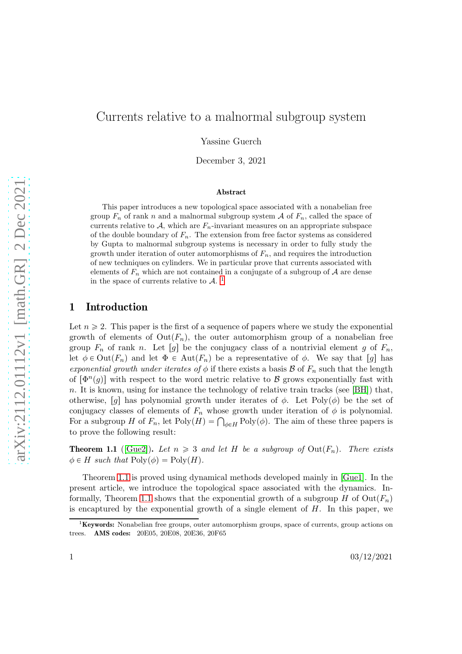# Currents relative to a malnormal subgroup system

Yassine Guerch

December 3, 2021

#### Abstract

This paper introduces a new topological space associated with a nonabelian free group  $F_n$  of rank n and a malnormal subgroup system A of  $F_n$ , called the space of currents relative to  $A$ , which are  $F_n$ -invariant measures on an appropriate subspace of the double boundary of  $F_n$ . The extension from free factor systems as considered by Gupta to malnormal subgroup systems is necessary in order to fully study the growth under iteration of outer automorphisms of  $F_n$ , and requires the introduction of new techniques on cylinders. We in particular prove that currents associated with elements of  $F_n$  which are not contained in a conjugate of a subgroup of  $A$  are dense in the space of currents relative to  $\mathcal{A}$ .<sup>[1](#page-0-0)</sup>

## 1 Introduction

Let  $n \geq 2$ . This paper is the first of a sequence of papers where we study the exponential growth of elements of  $Out(F_n)$ , the outer automorphism group of a nonabelian free group  $F_n$  of rank n. Let  $[g]$  be the conjugacy class of a nontrivial element g of  $F_n$ , let  $\phi \in \text{Out}(F_n)$  and let  $\Phi \in \text{Aut}(F_n)$  be a representative of  $\phi$ . We say that  $[g]$  has exponential growth under iterates of  $\phi$  if there exists a basis  $\mathcal B$  of  $F_n$  such that the length of  $[\Phi^n(g)]$  with respect to the word metric relative to B grows exponentially fast with n. It is known, using for instance the technology of relative train tracks (see [\[BH\]](#page-23-0)) that, otherwise, [g] has polynomial growth under iterates of  $\phi$ . Let Poly $(\phi)$  be the set of conjugacy classes of elements of  $F_n$  whose growth under iteration of  $\phi$  is polynomial. For a subgroup H of  $F_n$ , let  $Poly(H) = \bigcap_{\phi \in H} Poly(\phi)$ . The aim of these three papers is to prove the following result:

<span id="page-0-1"></span>**Theorem 1.1** ([\[Gue2\]](#page-23-1)). Let  $n \geq 3$  and let H be a subgroup of Out( $F_n$ ). There exists  $\phi \in H$  such that  $\text{Poly}(\phi) = \text{Poly}(H)$ .

Theorem [1.1](#page-0-1) is proved using dynamical methods developed mainly in [\[Gue1\]](#page-23-2). In the present article, we introduce the topological space associated with the dynamics. In-formally, Theorem [1.1](#page-0-1) shows that the exponential growth of a subgroup H of  $\text{Out}(F_n)$ is encaptured by the exponential growth of a single element of  $H$ . In this paper, we

<span id="page-0-0"></span> ${}^{1}$ Keywords: Nonabelian free groups, outer automorphism groups, space of currents, group actions on trees. AMS codes: 20E05, 20E08, 20E36, 20F65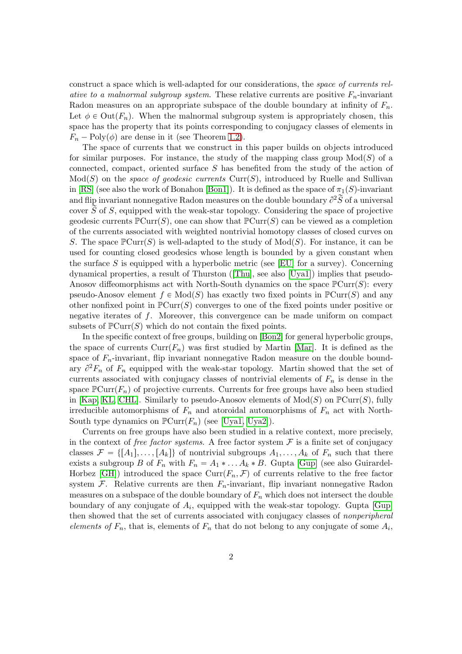construct a space which is well-adapted for our considerations, the space of currents relative to a malnormal subgroup system. These relative currents are positive  $F_n$ -invariant Radon measures on an appropriate subspace of the double boundary at infinity of  $F_n$ . Let  $\phi \in \text{Out}(F_n)$ . When the malnormal subgroup system is appropriately chosen, this space has the property that its points corresponding to conjugacy classes of elements in  $F_n - \text{Poly}(\phi)$  are dense in it (see Theorem [1.2\)](#page-2-0).

The space of currents that we construct in this paper builds on objects introduced for similar purposes. For instance, the study of the mapping class group  $Mod(S)$  of a connected, compact, oriented surface  $S$  has benefited from the study of the action of  $Mod(S)$  on the *space of geodesic currents* Curr(S), introduced by Ruelle and Sullivan in [\[RS\]](#page-24-0) (see also the work of Bonahon [\[Bon1\]](#page-23-3)). It is defined as the space of  $\pi_1(S)$ -invariant and flip invariant nonnegative Radon measures on the double boundary  $\partial^2 \widetilde{S}$  of a universal cover  $\widetilde{S}$  of S, equipped with the weak-star topology. Considering the space of projective geodesic currents  $\mathbb{P}\text{Curr}(S)$ , one can show that  $\mathbb{P}\text{Curr}(S)$  can be viewed as a completion of the currents associated with weighted nontrivial homotopy classes of closed curves on S. The space  $\mathbb{P}(\text{Curr}(S))$  is well-adapted to the study of  $\text{Mod}(S)$ . For instance, it can be used for counting closed geodesics whose length is bounded by a given constant when the surface S is equipped with a hyperbolic metric (see [\[EU\]](#page-23-4) for a survey). Concerning dynamical properties, a result of Thurston([\[Thu\]](#page-24-1), see also [\[Uya1\]](#page-24-2)) implies that pseudo-Anosov diffeomorphisms act with North-South dynamics on the space  $\mathbb{P}(\text{Curr}(S))$ : every pseudo-Anosov element  $f \in Mod(S)$  has exactly two fixed points in  $\mathbb{P}Cur(S)$  and any other nonfixed point in  $\mathbb{P}(\text{Curr}(S))$  converges to one of the fixed points under positive or negative iterates of f. Moreover, this convergence can be made uniform on compact subsets of  $\mathbb{P}(\text{Curr}(S))$  which do not contain the fixed points.

In the specific context of free groups, building on [\[Bon2\]](#page-23-5) for general hyperbolic groups, the space of currents  $Curr(F_n)$  was first studied by Martin [\[Mar\]](#page-24-3). It is defined as the space of  $F_n$ -invariant, flip invariant nonnegative Radon measure on the double boundary  $\partial^2 F_n$  of  $F_n$  equipped with the weak-star topology. Martin showed that the set of currents associated with conjugacy classes of nontrivial elements of  $F_n$  is dense in the space  $\mathbb{P}$ Curr $(F_n)$  of projective currents. Currents for free groups have also been studied in [\[Kap,](#page-24-4) [KL,](#page-24-5) [CHL\]](#page-23-6). Similarly to pseudo-Anosov elements of  $Mod(S)$  on  $\mathbb{P}Cur(S)$ , fully irreducible automorphisms of  $F_n$  and atoroidal automorphisms of  $F_n$  act with North-South type dynamics on  $\mathbb{P} \text{Curr}(F_n)$  (see [\[Uya1,](#page-24-2) [Uya2\]](#page-24-6)).

Currents on free groups have also been studied in a relative context, more precisely, in the context of free factor systems. A free factor system  $\mathcal F$  is a finite set of conjugacy classes  $\mathcal{F} = \{[A_1], \ldots, [A_k]\}\$  of nontrivial subgroups  $A_1, \ldots, A_k$  of  $F_n$  such that there exists a subgroup B of  $F_n$  with  $F_n = A_1 * ... A_k * B$ . Gupta [\[Gup\]](#page-23-7) (see also Guirardel-Horbez [\[GH\]](#page-23-8)) introduced the space  $Curr(F_n, \mathcal{F})$  of currents relative to the free factor system  $\mathcal{F}$ . Relative currents are then  $F_n$ -invariant, flip invariant nonnegative Radon measures on a subspace of the double boundary of  $F_n$  which does not intersect the double boundary of any conjugate of  $A_i$ , equipped with the weak-star topology. Gupta [\[Gup\]](#page-23-7) then showed that the set of currents associated with conjugacy classes of nonperipheral elements of  $F_n$ , that is, elements of  $F_n$  that do not belong to any conjugate of some  $A_i$ ,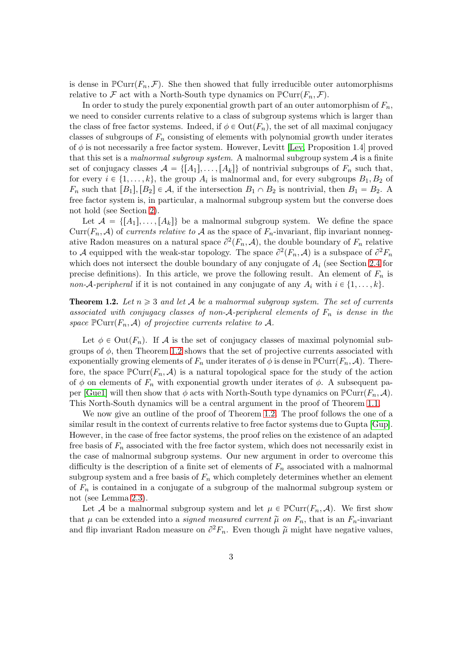is dense in  $\mathbb{P} \text{Curr}(F_n, \mathcal{F})$ . She then showed that fully irreducible outer automorphisms relative to F act with a North-South type dynamics on  $\mathbb{P}\text{Curr}(F_n, \mathcal{F})$ .

In order to study the purely exponential growth part of an outer automorphism of  $F_n$ , we need to consider currents relative to a class of subgroup systems which is larger than the class of free factor systems. Indeed, if  $\phi \in \text{Out}(F_n)$ , the set of all maximal conjugacy classes of subgroups of  $F_n$  consisting of elements with polynomial growth under iterates of  $\phi$  is not necessarily a free factor system. However, Levitt [\[Lev,](#page-24-7) Proposition 1.4] proved that this set is a malnormal subgroup system. A malnormal subgroup system  $A$  is a finite set of conjugacy classes  $A = \{[A_1], \ldots, [A_k]\}$  of nontrivial subgroups of  $F_n$  such that, for every  $i \in \{1, ..., k\}$ , the group  $A_i$  is malnormal and, for every subgroups  $B_1, B_2$  of  $F_n$  such that  $[B_1], [B_2] \in \mathcal{A}$ , if the intersection  $B_1 \cap B_2$  is nontrivial, then  $B_1 = B_2$ . A free factor system is, in particular, a malnormal subgroup system but the converse does not hold (see Section [2\)](#page-3-0).

Let  $\mathcal{A} = \{[A_1], \ldots, [A_k]\}\$ be a malnormal subgroup system. We define the space Curr $(F_n, \mathcal{A})$  of currents relative to  $\mathcal A$  as the space of  $F_n$ -invariant, flip invariant nonnegative Radon measures on a natural space  $\partial^2(F_n, \mathcal{A})$ , the double boundary of  $F_n$  relative to A equipped with the weak-star topology. The space  $\partial^2(F_n, A)$  is a subspace of  $\partial^2 F_n$ which does not intersect the double boundary of any conjugate of  $A_i$  (see Section [2.4](#page-7-0) for precise definitions). In this article, we prove the following result. An element of  $F_n$  is non-A-peripheral if it is not contained in any conjugate of any  $A_i$  with  $i \in \{1, \ldots, k\}$ .

<span id="page-2-0"></span>**Theorem 1.2.** Let  $n \geq 3$  and let A be a malnormal subgroup system. The set of currents associated with conjugacy classes of non- $A$ -peripheral elements of  $F_n$  is dense in the space  $\mathbb{P}\text{Curr}(F_n, \mathcal{A})$  of projective currents relative to  $\mathcal{A}$ .

Let  $\phi \in \text{Out}(F_n)$ . If A is the set of conjugacy classes of maximal polynomial subgroups of  $\phi$ , then Theorem [1.2](#page-2-0) shows that the set of projective currents associated with exponentially growing elements of  $F_n$  under iterates of  $\phi$  is dense in  $\mathbb{P} \text{Curr}(F_n, \mathcal{A})$ . Therefore, the space  $\mathbb{P}(\text{Curr}(F_n, \mathcal{A}))$  is a natural topological space for the study of the action of  $\phi$  on elements of  $F_n$  with exponential growth under iterates of  $\phi$ . A subsequent pa-per [\[Gue1\]](#page-23-2) will then show that  $\phi$  acts with North-South type dynamics on  $\mathbb{P}(\text{Curr}(F_n, \mathcal{A}))$ . This North-South dynamics will be a central argument in the proof of Theorem [1.1.](#page-0-1)

We now give an outline of the proof of Theorem [1.2.](#page-2-0) The proof follows the one of a similar result in the context of currents relative to free factor systems due to Gupta [\[Gup\]](#page-23-7). However, in the case of free factor systems, the proof relies on the existence of an adapted free basis of  $F_n$  associated with the free factor system, which does not necessarily exist in the case of malnormal subgroup systems. Our new argument in order to overcome this difficulty is the description of a finite set of elements of  $F_n$  associated with a malnormal subgroup system and a free basis of  $F_n$  which completely determines whether an element of  $F_n$  is contained in a conjugate of a subgroup of the malnormal subgroup system or not (see Lemma [2.3\)](#page-5-0).

Let A be a malnormal subgroup system and let  $\mu \in \mathbb{P}(\text{Curr}(F_n, \mathcal{A}))$ . We first show that  $\mu$  can be extended into a *signed measured current*  $\tilde{\mu}$  on  $F_n$ , that is an  $F_n$ -invariant and flip invariant Radon measure on  $\partial^2 F_n$ . Even though  $\tilde{\mu}$  might have negative values,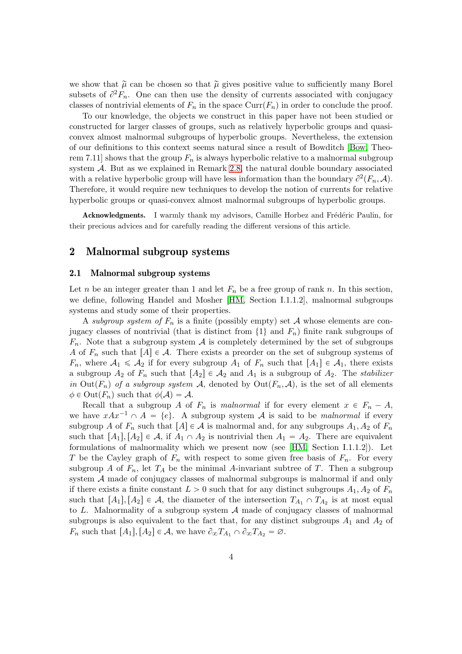we show that  $\tilde{\mu}$  can be chosen so that  $\tilde{\mu}$  gives positive value to sufficiently many Borel subsets of  $\partial^2 F_n$ . One can then use the density of currents associated with conjugacy classes of nontrivial elements of  $F_n$  in the space  $Curr(F_n)$  in order to conclude the proof.

To our knowledge, the objects we construct in this paper have not been studied or constructed for larger classes of groups, such as relatively hyperbolic groups and quasiconvex almost malnormal subgroups of hyperbolic groups. Nevertheless, the extension of our definitions to this context seems natural since a result of Bowditch [\[Bow,](#page-23-9) Theorem 7.11] shows that the group  $F_n$  is always hyperbolic relative to a malnormal subgroup system  $A$ . But as we explained in Remark [2.8,](#page-9-0) the natural double boundary associated with a relative hyperbolic group will have less information than the boundary  $\partial^2(F_n, A)$ . Therefore, it would require new techniques to develop the notion of currents for relative hyperbolic groups or quasi-convex almost malnormal subgroups of hyperbolic groups.

<span id="page-3-0"></span>Acknowledgments. I warmly thank my advisors, Camille Horbez and Frédéric Paulin, for their precious advices and for carefully reading the different versions of this article.

## 2 Malnormal subgroup systems

#### 2.1 Malnormal subgroup systems

Let n be an integer greater than 1 and let  $F_n$  be a free group of rank n. In this section, we define, following Handel and Mosher [\[HM,](#page-23-10) Section I.1.1.2], malnormal subgroups systems and study some of their properties.

A subgroup system of  $F_n$  is a finite (possibly empty) set A whose elements are conjugacy classes of nontrivial (that is distinct from  $\{1\}$  and  $F_n$ ) finite rank subgroups of  $F_n$ . Note that a subgroup system  $\mathcal A$  is completely determined by the set of subgroups A of  $F_n$  such that  $[A] \in \mathcal{A}$ . There exists a preorder on the set of subgroup systems of  $F_n$ , where  $\mathcal{A}_1 \leq \mathcal{A}_2$  if for every subgroup  $A_1$  of  $F_n$  such that  $[A_1] \in \mathcal{A}_1$ , there exists a subgroup  $A_2$  of  $F_n$  such that  $[A_2] \in \mathcal{A}_2$  and  $A_1$  is a subgroup of  $A_2$ . The stabilizer in Out( $F_n$ ) of a subgroup system A, denoted by Out( $F_n$ , A), is the set of all elements  $\phi \in \text{Out}(F_n)$  such that  $\phi(\mathcal{A}) = \mathcal{A}$ .

Recall that a subgroup A of  $F_n$  is malnormal if for every element  $x \in F_n - A$ , we have  $xAx^{-1} \cap A = \{e\}$ . A subgroup system A is said to be malnormal if every subgroup A of  $F_n$  such that  $[A] \in \mathcal{A}$  is malnormal and, for any subgroups  $A_1, A_2$  of  $F_n$ such that  $[A_1], [A_2] \in \mathcal{A}$ , if  $A_1 \cap A_2$  is nontrivial then  $A_1 = A_2$ . There are equivalent formulations of malnormality which we present now (see [\[HM,](#page-23-10) Section I.1.1.2]). Let T be the Cayley graph of  $F_n$  with respect to some given free basis of  $F_n$ . For every subgroup A of  $F_n$ , let  $T_A$  be the minimal A-invariant subtree of T. Then a subgroup system A made of conjugacy classes of malnormal subgroups is malnormal if and only if there exists a finite constant  $L > 0$  such that for any distinct subgroups  $A_1, A_2$  of  $F_n$ such that  $[A_1], [A_2] \in \mathcal{A}$ , the diameter of the intersection  $T_{A_1} \cap T_{A_2}$  is at most equal to  $L$ . Malnormality of a subgroup system  $A$  made of conjugacy classes of malnormal subgroups is also equivalent to the fact that, for any distinct subgroups  $A_1$  and  $A_2$  of  $F_n$  such that  $[A_1], [A_2] \in \mathcal{A}$ , we have  $\partial_{\infty} T_{A_1} \cap \partial_{\infty} T_{A_2} = \emptyset$ .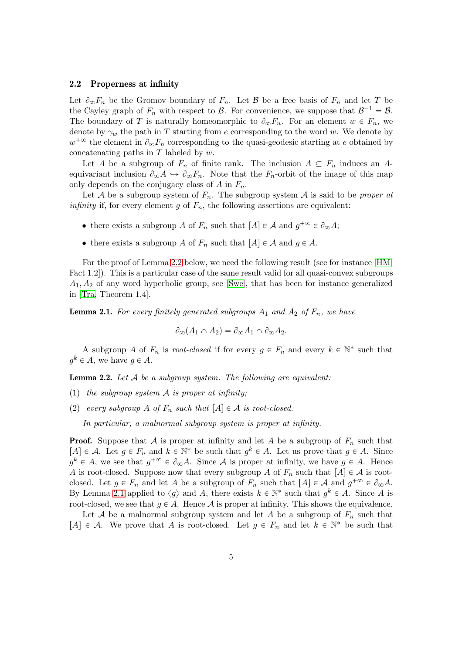#### 2.2 Properness at infinity

Let  $\partial_{\infty}F_n$  be the Gromov boundary of  $F_n$ . Let  $\beta$  be a free basis of  $F_n$  and let T be the Cayley graph of  $F_n$  with respect to  $\mathcal{B}$ . For convenience, we suppose that  $\mathcal{B}^{-1} = \mathcal{B}$ . The boundary of T is naturally homeomorphic to  $\partial_{\infty} F_n$ . For an element  $w \in F_n$ , we denote by  $\gamma_w$  the path in T starting from e corresponding to the word w. We denote by  $w^{+\infty}$  the element in  $\partial_{\infty}F_n$  corresponding to the quasi-geodesic starting at e obtained by concatenating paths in  $T$  labeled by  $w$ .

Let A be a subgroup of  $F_n$  of finite rank. The inclusion  $A \subseteq F_n$  induces an Aequivariant inclusion  $\partial_{\infty} A \hookrightarrow \partial_{\infty} F_n$ . Note that the  $F_n$ -orbit of the image of this map only depends on the conjugacy class of A in  $F_n$ .

Let A be a subgroup system of  $F_n$ . The subgroup system A is said to be *proper at infinity* if, for every element g of  $F_n$ , the following assertions are equivalent:

- there exists a subgroup A of  $F_n$  such that  $[A] \in \mathcal{A}$  and  $g^{+\infty} \in \partial_{\infty} A;$
- there exists a subgroup A of  $F_n$  such that  $[A] \in \mathcal{A}$  and  $g \in A$ .

For the proof of Lemma [2.2](#page-4-0) below, we need the following result (see for instance [\[HM,](#page-23-10) Fact 1.2]). This is a particular case of the same result valid for all quasi-convex subgroups  $A_1, A_2$  of any word hyperbolic group, see [\[Swe\]](#page-24-8), that has been for instance generalized in [\[Tra,](#page-24-9) Theorem 1.4].

<span id="page-4-1"></span>**Lemma 2.1.** For every finitely generated subgroups  $A_1$  and  $A_2$  of  $F_n$ , we have

$$
\partial_{\infty}(A_1 \cap A_2) = \partial_{\infty} A_1 \cap \partial_{\infty} A_2.
$$

A subgroup A of  $F_n$  is root-closed if for every  $g \in F_n$  and every  $k \in \mathbb{N}^*$  such that  $g^k \in A$ , we have  $g \in A$ .

<span id="page-4-0"></span>**Lemma 2.2.** Let  $A$  be a subgroup system. The following are equivalent:

- (1) the subgroup system  $A$  is proper at infinity;
- (2) every subgroup A of  $F_n$  such that  $[A] \in \mathcal{A}$  is root-closed.

In particular, a malnormal subgroup system is proper at infinity.

**Proof.** Suppose that A is proper at infinity and let A be a subgroup of  $F_n$  such that  $[A] \in \mathcal{A}$ . Let  $g \in F_n$  and  $k \in \mathbb{N}^*$  be such that  $g^k \in A$ . Let us prove that  $g \in A$ . Since  $g^k \in A$ , we see that  $g^{+\infty} \in \partial_{\infty}A$ . Since A is proper at infinity, we have  $g \in A$ . Hence A is root-closed. Suppose now that every subgroup A of  $F_n$  such that  $[A] \in \mathcal{A}$  is rootclosed. Let  $g \in F_n$  and let A be a subgroup of  $F_n$  such that  $[A] \in \mathcal{A}$  and  $g^{+\infty} \in \partial_{\infty} A$ . By Lemma [2.1](#page-4-1) applied to  $\langle g \rangle$  and A, there exists  $k \in \mathbb{N}^*$  such that  $g^k \in A$ . Since A is root-closed, we see that  $g \in A$ . Hence A is proper at infinity. This shows the equivalence.

Let A be a malnormal subgroup system and let A be a subgroup of  $F_n$  such that  $[A] \in \mathcal{A}$ . We prove that A is root-closed. Let  $g \in F_n$  and let  $k \in \mathbb{N}^*$  be such that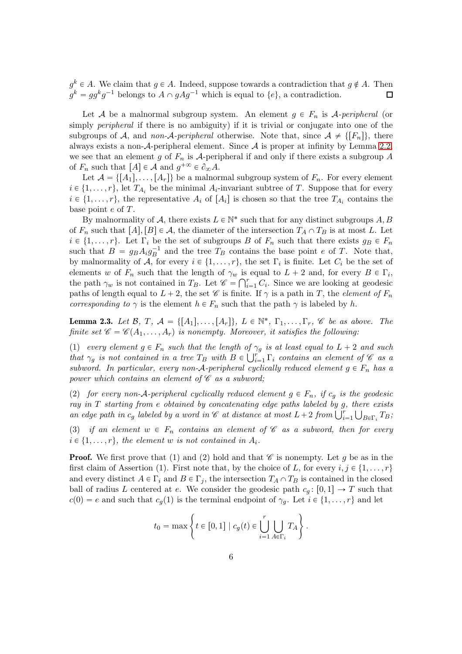$g^k \in A$ . We claim that  $g \in A$ . Indeed, suppose towards a contradiction that  $g \notin A$ . Then  $g^k = gg^k g^{-1}$  belongs to  $A \cap gAg^{-1}$  which is equal to  $\{e\}$ , a contradiction.  $\Box$ 

Let A be a malnormal subgroup system. An element  $g \in F_n$  is A-peripheral (or simply peripheral if there is no ambiguity) if it is trivial or conjugate into one of the subgroups of A, and non-A-peripheral otherwise. Note that, since  $\mathcal{A} \neq \{[F_n]\}\$ , there always exists a non- $A$ -peripheral element. Since  $A$  is proper at infinity by Lemma [2.2,](#page-4-0) we see that an element g of  $F_n$  is A-peripheral if and only if there exists a subgroup A of  $F_n$  such that  $[A] \in \mathcal{A}$  and  $g^{+\infty} \in \partial_{\infty} A$ .

Let  $\mathcal{A} = \{[A_1], \ldots, [A_r]\}\$  be a malnormal subgroup system of  $F_n$ . For every element  $i \in \{1, \ldots, r\}$ , let  $T_{A_i}$  be the minimal  $A_i$ -invariant subtree of T. Suppose that for every  $i \in \{1, \ldots, r\}$ , the representative  $A_i$  of  $[A_i]$  is chosen so that the tree  $T_{A_i}$  contains the base point e of T.

By malnormality of A, there exists  $L \in \mathbb{N}^*$  such that for any distinct subgroups A, B of  $F_n$  such that  $[A], [B] \in \mathcal{A}$ , the diameter of the intersection  $T_A \cap T_B$  is at most L. Let  $i \in \{1, \ldots, r\}$ . Let  $\Gamma_i$  be the set of subgroups B of  $F_n$  such that there exists  $g_B \in F_n$ such that  $B = g_B A_i g_B^{-1}$  and the tree  $T_B$  contains the base point e of T. Note that, by malnormality of  $\mathcal{A}$ , for every  $i \in \{1, \ldots, r\}$ , the set  $\Gamma_i$  is finite. Let  $C_i$  be the set of elements w of  $F_n$  such that the length of  $\gamma_w$  is equal to  $L + 2$  and, for every  $B \in \Gamma_i$ , the path  $\gamma_w$  is not contained in  $T_B$ . Let  $\mathscr{C} = \bigcap_{i=1}^r C_i$ . Since we are looking at geodesic paths of length equal to  $L + 2$ , the set  $\mathscr C$  is finite. If  $\gamma$  is a path in T, the element of  $F_n$ corresponding to  $\gamma$  is the element  $h \in F_n$  such that the path  $\gamma$  is labeled by h.

<span id="page-5-0"></span>**Lemma 2.3.** Let B, T,  $A = \{[A_1], \ldots, [A_r]\}, L \in \mathbb{N}^*, \Gamma_1, \ldots, \Gamma_r, \mathcal{C}$  be as above. The finite set  $\mathscr{C} = \mathscr{C}(A_1, \ldots, A_r)$  is nonempty. Moreover, it satisfies the following:

(1) every element  $g \in F_n$  such that the length of  $\gamma_g$  is at least equal to  $L + 2$  and such that  $\gamma_g$  is not contained in a tree  $T_B$  with  $B \in \bigcup_{i=1}^r \Gamma_i$  contains an element of  $\mathscr C$  as a subword. In particular, every non-A-peripheral cyclically reduced element  $g \in F_n$  has a power which contains an element of  $\mathscr C$  as a subword;

(2) for every non-A-peripheral cyclically reduced element  $g \in F_n$ , if  $c_g$  is the geodesic ray in  $T$  starting from e obtained by concatenating edge paths labeled by  $g$ , there exists an edge path in  $c_g$  labeled by a word in  $\mathscr C$  at distance at most  $L+2$  from  $\bigcup_{i=1}^r \bigcup_{B\in\Gamma_i} T_B$ ;

(3) if an element  $w \in F_n$  contains an element of  $\mathscr C$  as a subword, then for every  $i \in \{1, \ldots, r\}$ , the element w is not contained in  $A_i$ .

**Proof.** We first prove that (1) and (2) hold and that  $\mathscr{C}$  is nonempty. Let q be as in the first claim of Assertion (1). First note that, by the choice of L, for every  $i, j \in \{1, \ldots, r\}$ and every distinct  $A \in \Gamma_i$  and  $B \in \Gamma_j$ , the intersection  $T_A \cap T_B$  is contained in the closed ball of radius L centered at e. We consider the geodesic path  $c_q: [0, 1] \rightarrow T$  such that  $c(0) = e$  and such that  $c_q(1)$  is the terminal endpoint of  $\gamma_q$ . Let  $i \in \{1, \ldots, r\}$  and let

$$
t_0 = \max \left\{ t \in [0,1] \mid c_g(t) \in \bigcup_{i=1}^r \bigcup_{A \in \Gamma_i} T_A \right\}.
$$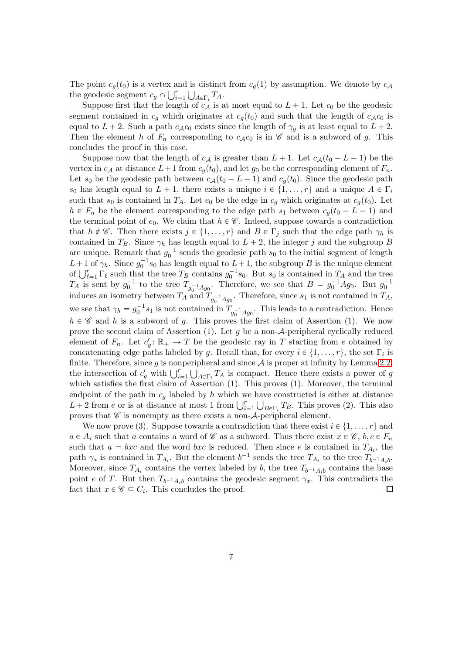The point  $c_q(t_0)$  is a vertex and is distinct from  $c_q(1)$  by assumption. We denote by  $c_A$ the geodesic segment  $c_g \cap \bigcup_{i=1}^r \bigcup_{A \in \Gamma_i} T_A$ .

Suppose first that the length of  $c_A$  is at most equal to  $L + 1$ . Let  $c_0$  be the geodesic segment contained in  $c_q$  which originates at  $c_q(t_0)$  and such that the length of  $c_A c_0$  is equal to  $L + 2$ . Such a path  $c_{A}c_{0}$  exists since the length of  $\gamma_{g}$  is at least equal to  $L + 2$ . Then the element h of  $F_n$  corresponding to  $c_{\mathcal{A}}c_0$  is in  $\mathcal C$  and is a subword of g. This concludes the proof in this case.

Suppose now that the length of  $c_A$  is greater than  $L + 1$ . Let  $c_A(t_0 - L - 1)$  be the vertex in  $c_A$  at distance  $L+1$  from  $c_q(t_0)$ , and let  $g_0$  be the corresponding element of  $F_n$ . Let  $s_0$  be the geodesic path between  $c_A(t_0 - L - 1)$  and  $c_g(t_0)$ . Since the geodesic path s<sub>0</sub> has length equal to  $L + 1$ , there exists a unique  $i \in \{1, ..., r\}$  and a unique  $A \in \Gamma_i$ such that  $s_0$  is contained in  $T_A$ . Let  $e_0$  be the edge in  $c_g$  which originates at  $c_g(t_0)$ . Let  $h \in F_n$  be the element corresponding to the edge path  $s_1$  between  $c_q(t_0 - L - 1)$  and the terminal point of  $e_0$ . We claim that  $h \in \mathscr{C}$ . Indeed, suppose towards a contradiction that  $h \notin \mathscr{C}$ . Then there exists  $j \in \{1, ..., r\}$  and  $B \in \Gamma_j$  such that the edge path  $\gamma_h$  is contained in  $T_B$ . Since  $\gamma_h$  has length equal to  $L + 2$ , the integer j and the subgroup B are unique. Remark that  $g_0^{-1}$  sends the geodesic path  $s_0$  to the initial segment of length  $L+1$  of  $\gamma_h$ . Since  $g_0^{-1}s_0$  has length equal to  $L+1$ , the subgroup B is the unique element of  $\bigcup_{\ell=1}^r \Gamma_\ell$  such that the tree  $T_B$  contains  $g_0^{-1} s_0$ . But  $s_0$  is contained in  $T_A$  and the tree  $T_A$  is sent by  $g_0^{-1}$  to the tree  $T_{g_0^{-1}Ag_0}$ . Therefore, we see that  $B = g_0^{-1}Ag_0$ . But  $g_0^{-1}$ induces an isometry between  $T_A$  and  $T_{g_0^{-1}Ag_0}$ . Therefore, since  $s_1$  is not contained in  $T_A$ , we see that  $\gamma_h = g_0^{-1} s_1$  is not contained in  $T_{g_0^{-1}Ag_0}$ . This leads to a contradiction. Hence  $h \in \mathscr{C}$  and h is a subword of g. This proves the first claim of Assertion (1). We now prove the second claim of Assertion (1). Let g be a non- $A$ -peripheral cyclically reduced element of  $F_n$ . Let  $c'_g: \mathbb{R}_+ \to T$  be the geodesic ray in T starting from e obtained by concatenating edge paths labeled by g. Recall that, for every  $i \in \{1, ..., r\}$ , the set  $\Gamma_i$  is finite. Therefore, since q is nonperipheral and since  $A$  is proper at infinity by Lemma [2.2,](#page-4-0) the intersection of  $c'_g$  with  $\bigcup_{i=1}^r \bigcup_{A \in \Gamma_i} T_A$  is compact. Hence there exists a power of g which satisfies the first claim of Assertion  $(1)$ . This proves  $(1)$ . Moreover, the terminal endpoint of the path in  $c_q$  labeled by h which we have constructed is either at distance  $L + 2$  from e or is at distance at most 1 from  $\bigcup_{i=1}^r \bigcup_{B \in \Gamma_i} T_B$ . This proves (2). This also proves that  $\mathscr C$  is nonempty as there exists a non- $\mathcal A$ -peripheral element.

We now prove (3). Suppose towards a contradiction that there exist  $i \in \{1, \ldots, r\}$  and  $a \in A_i$  such that a contains a word of C as a subword. Thus there exist  $x \in C$ ,  $b, c \in F_n$ such that  $a = bxc$  and the word  $bxc$  is reduced. Then since e is contained in  $T_{A_i}$ , the path  $\gamma_a$  is contained in  $T_{A_i}$ . But the element  $b^{-1}$  sends the tree  $T_{A_i}$  to the tree  $T_{b^{-1}A_ib}$ . Moreover, since  $T_{A_i}$  contains the vertex labeled by b, the tree  $T_{b^{-1}A_ib}$  contains the base point e of T. But then  $T_{b^{-1}A_i}$  contains the geodesic segment  $\gamma_x$ . This contradicts the fact that  $x \in \mathscr{C} \subseteq C_i$ . This concludes the proof.  $\Box$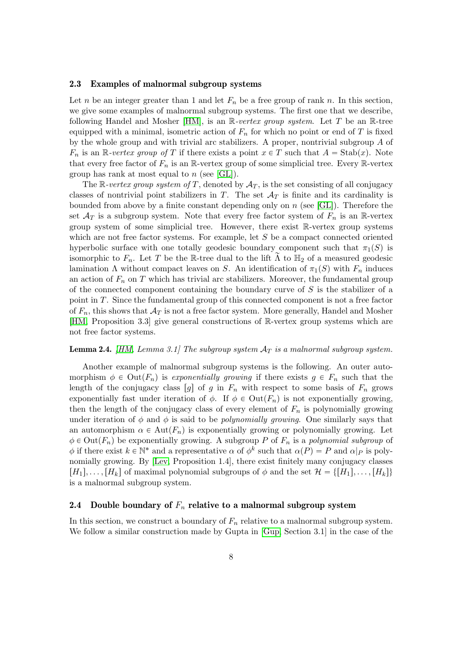#### 2.3 Examples of malnormal subgroup systems

Let n be an integer greater than 1 and let  $F_n$  be a free group of rank n. In this section, we give some examples of malnormal subgroup systems. The first one that we describe, following Handel and Mosher  $[HM]$ , is an R-vertex group system. Let T be an R-tree equipped with a minimal, isometric action of  $F_n$  for which no point or end of T is fixed by the whole group and with trivial arc stabilizers. A proper, nontrivial subgroup  $A$  of  $F_n$  is an R-vertex group of T if there exists a point  $x \in T$  such that  $A = \text{Stab}(x)$ . Note that every free factor of  $F_n$  is an R-vertex group of some simplicial tree. Every R-vertex group has rank at most equal to  $n$  (see [\[GL\]](#page-23-11)).

The R-vertex group system of T, denoted by  $A_T$ , is the set consisting of all conjugacy classes of nontrivial point stabilizers in T. The set  $A_T$  is finite and its cardinality is bounded from above by a finite constant depending only on  $n$  (see [\[GL\]](#page-23-11)). Therefore the set  $\mathcal{A}_T$  is a subgroup system. Note that every free factor system of  $F_n$  is an R-vertex group system of some simplicial tree. However, there exist R-vertex group systems which are not free factor systems. For example, let  $S$  be a compact connected oriented hyperbolic surface with one totally geodesic boundary component such that  $\pi_1(S)$  is isomorphic to  $F_n$ . Let T be the R-tree dual to the lift  $\Lambda$  to  $\mathbb{H}_2$  of a measured geodesic lamination  $\Lambda$  without compact leaves on S. An identification of  $\pi_1(S)$  with  $F_n$  induces an action of  $F_n$  on T which has trivial arc stabilizers. Moreover, the fundamental group of the connected component containing the boundary curve of  $S$  is the stabilizer of a point in T. Since the fundamental group of this connected component is not a free factor of  $F_n$ , this shows that  $\mathcal{A}_T$  is not a free factor system. More generally, Handel and Mosher [\[HM,](#page-23-10) Proposition 3.3] give general constructions of R-vertex group systems which are not free factor systems.

#### **Lemma 2.4.** [\[HM,](#page-23-10) Lemma 3.1] The subgroup system  $A_T$  is a malnormal subgroup system.

Another example of malnormal subgroup systems is the following. An outer automorphism  $\phi \in \text{Out}(F_n)$  is exponentially growing if there exists  $g \in F_n$  such that the length of the conjugacy class  $[g]$  of g in  $F_n$  with respect to some basis of  $F_n$  grows exponentially fast under iteration of  $\phi$ . If  $\phi \in \text{Out}(F_n)$  is not exponentially growing, then the length of the conjugacy class of every element of  $F_n$  is polynomially growing under iteration of  $\phi$  and  $\phi$  is said to be *polynomially growing*. One similarly says that an automorphism  $\alpha \in Aut(F_n)$  is exponentially growing or polynomially growing. Let  $\phi \in \text{Out}(F_n)$  be exponentially growing. A subgroup P of  $F_n$  is a polynomial subgroup of  $\phi$  if there exist  $k \in \mathbb{N}^*$  and a representative  $\alpha$  of  $\phi^k$  such that  $\alpha(P) = P$  and  $\alpha|_P$  is polynomially growing. By [\[Lev,](#page-24-7) Proposition 1.4], there exist finitely many conjugacy classes  $[H_1], \ldots, [H_k]$  of maximal polynomial subgroups of  $\phi$  and the set  $\mathcal{H} = \{[H_1], \ldots, [H_k]\}$ is a malnormal subgroup system.

### <span id="page-7-0"></span>2.4 Double boundary of  $F_n$  relative to a malnormal subgroup system

In this section, we construct a boundary of  $F_n$  relative to a malnormal subgroup system. We follow a similar construction made by Gupta in [\[Gup,](#page-23-7) Section 3.1] in the case of the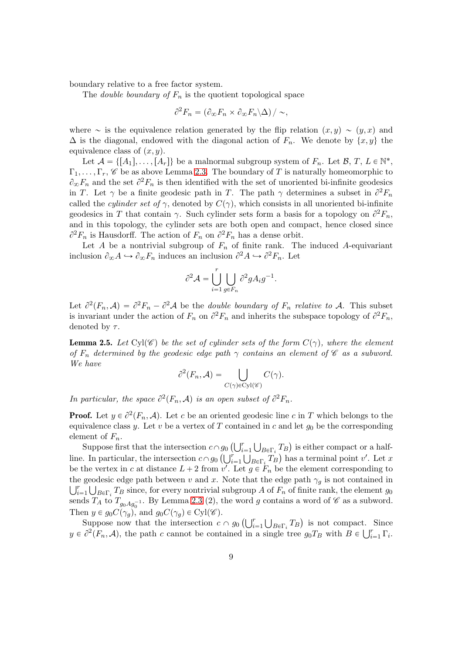boundary relative to a free factor system.

The *double boundary of*  $F_n$  is the quotient topological space

$$
\partial^2 F_n = \left(\partial_\infty F_n \times \partial_\infty F_n \backslash \Delta\right) / \sim,
$$

where  $\sim$  is the equivalence relation generated by the flip relation  $(x, y) \sim (y, x)$  and  $\Delta$  is the diagonal, endowed with the diagonal action of  $F_n$ . We denote by  $\{x, y\}$  the equivalence class of  $(x, y)$ .

Let  $\mathcal{A} = \{[A_1], \ldots, [A_r]\}\$ be a malnormal subgroup system of  $F_n$ . Let  $\mathcal{B}, T, L \in \mathbb{N}^*$ ,  $\Gamma_1, \ldots, \Gamma_r$ , C be as above Lemma [2.3.](#page-5-0) The boundary of T is naturally homeomorphic to  $\partial_{\infty} F_n$  and the set  $\partial^2 F_n$  is then identified with the set of unoriented bi-infinite geodesics in T. Let  $\gamma$  be a finite geodesic path in T. The path  $\gamma$  determines a subset in  $\partial^2 F_n$ called the *cylinder set of*  $\gamma$ , denoted by  $C(\gamma)$ , which consists in all unoriented bi-infinite geodesics in T that contain  $\gamma$ . Such cylinder sets form a basis for a topology on  $\partial^2 F_n$ , and in this topology, the cylinder sets are both open and compact, hence closed since  $\partial^2 F_n$  is Hausdorff. The action of  $F_n$  on  $\partial^2 F_n$  has a dense orbit.

Let A be a nontrivial subgroup of  $F_n$  of finite rank. The induced A-equivariant inclusion  $\partial_{\infty} A \hookrightarrow \partial_{\infty} F_n$  induces an inclusion  $\partial^2 A \hookrightarrow \partial^2 F_n$ . Let

$$
\partial^2 \mathcal{A} = \bigcup_{i=1}^r \bigcup_{g \in F_n} \partial^2 g A_i g^{-1}.
$$

Let  $\partial^2(F_n, A) = \partial^2 F_n - \partial^2 A$  be the *double boundary of*  $F_n$  *relative to A.* This subset is invariant under the action of  $F_n$  on  $\partial^2 F_n$  and inherits the subspace topology of  $\partial^2 F_n$ , denoted by  $\tau$ .

<span id="page-8-0"></span>**Lemma 2.5.** Let Cyl $(\mathscr{C})$  be the set of cylinder sets of the form  $C(\gamma)$ , where the element of  $F_n$  determined by the geodesic edge path  $\gamma$  contains an element of  $\mathscr C$  as a subword. We have

$$
\partial^2(F_n, \mathcal{A}) = \bigcup_{C(\gamma) \in \text{Cyl}(\mathscr{C})} C(\gamma).
$$

In particular, the space  $\partial^2(F_n, A)$  is an open subset of  $\partial^2 F_n$ .

**Proof.** Let  $y \in \partial^2(F_n, \mathcal{A})$ . Let c be an oriented geodesic line c in T which belongs to the equivalence class y. Let v be a vertex of T contained in c and let  $g_0$  be the corresponding element of  $F_n$ .

Suppose first that the intersection  $c \cap g_0 \left( \bigcup_{i=1}^r \bigcup_{B \in \Gamma_i} T_B \right)$  is either compact or a halfline. In particular, the intersection  $c \cap g_0$   $(\bigcup_{i=1}^r \bigcup_{B \in \Gamma_i} T_B)$  has a terminal point  $v'$ . Let x be the vertex in c at distance  $L + 2$  from  $v'$ . Let  $g \in F_n$  be the element corresponding to the geodesic edge path between v and x. Note that the edge path  $\gamma_q$  is not contained in  $\bigcup_{i=1}^r \bigcup_{B \in \Gamma_i} T_B$  since, for every nontrivial subgroup A of  $F_n$  of finite rank, the element  $g_0$ sends  $T_A$  to  $T_{g_0Ag_0^{-1}}$ . By Lemma [2.3](#page-5-0) (2), the word g contains a word of  $\mathscr C$  as a subword. Then  $y \in g_0C(\gamma_g)$ , and  $g_0C(\gamma_g) \in Cyl(\mathscr{C})$ .

Suppose now that the intersection  $c \cap g_0\left(\bigcup_{i=1}^r \bigcup_{B \in \Gamma_i} T_B\right)$  is not compact. Since  $y \in \partial^2 (F_n, \mathcal{A})$ , the path c cannot be contained in a single tree  $g_0T_B$  with  $B \in \bigcup_{i=1}^r \Gamma_i$ .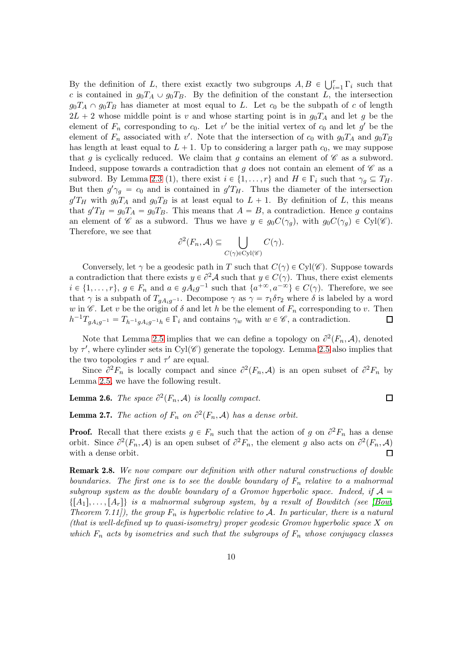By the definition of L, there exist exactly two subgroups  $A, B \in \bigcup_{i=1}^r \Gamma_i$  such that c is contained in  $g_0T_A \cup g_0T_B$ . By the definition of the constant L, the intersection  $g_0T_A \cap g_0T_B$  has diameter at most equal to L. Let  $c_0$  be the subpath of c of length  $2L + 2$  whose middle point is v and whose starting point is in  $g_0T_A$  and let g be the element of  $F_n$  corresponding to  $c_0$ . Let  $v'$  be the initial vertex of  $c_0$  and let  $g'$  be the element of  $F_n$  associated with v'. Note that the intersection of  $c_0$  with  $g_0T_A$  and  $g_0T_B$ has length at least equal to  $L + 1$ . Up to considering a larger path  $c_0$ , we may suppose that g is cyclically reduced. We claim that g contains an element of  $\mathscr C$  as a subword. Indeed, suppose towards a contradiction that g does not contain an element of  $\mathscr C$  as a subword. By Lemma [2.3](#page-5-0) (1), there exist  $i \in \{1, ..., r\}$  and  $H \in \Gamma_i$  such that  $\gamma_q \subseteq T_H$ . But then  $g'\gamma_g = c_0$  and is contained in  $g'T_H$ . Thus the diameter of the intersection  $g'T_H$  with  $g_0T_A$  and  $g_0T_B$  is at least equal to  $L + 1$ . By definition of L, this means that  $g'T_H = g_0T_A = g_0T_B$ . This means that  $A = B$ , a contradiction. Hence g contains an element of  $\mathscr C$  as a subword. Thus we have  $y \in g_0C(\gamma_g)$ , with  $g_0C(\gamma_g) \in Cyl(\mathscr C)$ . Therefore, we see that

$$
\partial^2(F_n, \mathcal{A}) \subseteq \bigcup_{C(\gamma) \in \text{Cyl}(\mathscr{C})} C(\gamma).
$$

Conversely, let  $\gamma$  be a geodesic path in T such that  $C(\gamma) \in Cyl(\mathscr{C})$ . Suppose towards a contradiction that there exists  $y \in \partial^2 A$  such that  $y \in C(\gamma)$ . Thus, there exist elements  $i \in \{1, \ldots, r\}, g \in F_n$  and  $a \in gA_ig^{-1}$  such that  $\{a^{+\infty}, a^{-\infty}\} \in C(\gamma)$ . Therefore, we see that  $\gamma$  is a subpath of  $T_{gA_ig^{-1}}$ . Decompose  $\gamma$  as  $\gamma = \tau_1 \delta \tau_2$  where  $\delta$  is labeled by a word w in  $\mathscr C$ . Let v be the origin of  $\delta$  and let h be the element of  $F_n$  corresponding to v. Then  $h^{-1}T_{gA_ig^{-1}} = T_{h^{-1}gA_ig^{-1}h} \in \Gamma_i$  and contains  $\gamma_w$  with  $w \in \mathscr{C}$ , a contradiction.  $\Box$ 

Note that Lemma [2.5](#page-8-0) implies that we can define a topology on  $\partial^2(F_n, \mathcal{A})$ , denoted by  $\tau'$ , where cylinder sets in Cyl( $\mathscr{C}$ ) generate the topology. Lemma [2.5](#page-8-0) also implies that the two topologies  $\tau$  and  $\tau'$  are equal.

Since  $\partial^2 F_n$  is locally compact and since  $\partial^2 (F_n, A)$  is an open subset of  $\partial^2 F_n$  by Lemma [2.5,](#page-8-0) we have the following result.

 $\Box$ 

## <span id="page-9-1"></span>**Lemma 2.6.** The space  $\partial^2(F_n, \mathcal{A})$  is locally compact.

**Lemma 2.7.** The action of  $F_n$  on  $\partial^2(F_n, \mathcal{A})$  has a dense orbit.

**Proof.** Recall that there exists  $g \in F_n$  such that the action of g on  $\partial^2 F_n$  has a dense orbit. Since  $\partial^2(F_n, A)$  is an open subset of  $\partial^2 F_n$ , the element g also acts on  $\partial^2(F_n, A)$ with a dense orbit.  $\Box$ 

<span id="page-9-0"></span>Remark 2.8. We now compare our definition with other natural constructions of double boundaries. The first one is to see the double boundary of  $F_n$  relative to a malnormal subgroup system as the double boundary of a Gromov hyperbolic space. Indeed, if  $A =$  $\{[A_1], \ldots, [A_r]\}\$ is a malnormal subgroup system, by a result of Bowditch (see [\[Bow,](#page-23-9) Theorem 7.11), the group  $F_n$  is hyperbolic relative to A. In particular, there is a natural (that is well-defined up to quasi-isometry) proper geodesic Gromov hyperbolic space  $X$  on which  $F_n$  acts by isometries and such that the subgroups of  $F_n$  whose conjugacy classes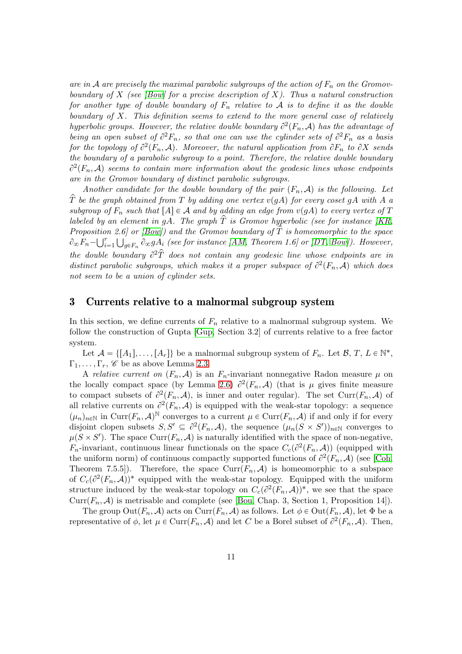are in A are precisely the maximal parabolic subgroups of the action of  $F_n$  on the Gromov-boundary of X (see [\[Bow\]](#page-23-9) for a precise description of X). Thus a natural construction for another type of double boundary of  $F_n$  relative to A is to define it as the double boundary of X. This definition seems to extend to the more general case of relatively hyperbolic groups. However, the relative double boundary  $\partial^2(F_n, \mathcal{A})$  has the advantage of being an open subset of  $\partial^2 F_n$ , so that one can use the cylinder sets of  $\partial^2 F_n$  as a basis for the topology of  $\partial^2(F_n, A)$ . Moreover, the natural application from  $\partial F_n$  to  $\partial X$  sends the boundary of a parabolic subgroup to a point. Therefore, the relative double boundary  $\partial^2(F_n, \mathcal{A})$  seems to contain more information about the geodesic lines whose endpoints are in the Gromov boundary of distinct parabolic subgroups.

Another candidate for the double boundary of the pair  $(F_n, A)$  is the following. Let  $\hat{T}$  be the graph obtained from T by adding one vertex  $v(qA)$  for every coset gA with A a subgroup of  $F_n$  such that  $[A] \in \mathcal{A}$  and by adding an edge from  $v(gA)$  to every vertex of T labeled by an element in gA. The graph  $\hat{T}$  is Gromov hyperbolic (see for instance [\[KR,](#page-24-10) Proposition 2.6] or [\[Bow\]](#page-23-9)) and the Gromov boundary of  $\hat{T}$  is homeomorphic to the space  $\partial_\infty F_n - \bigcup_{i=1}^r \bigcup_{g \in F_n} \partial_\infty g A_i$  (see for instance [\[AM,](#page-23-12) Theorem 1.6] or [\[DT,](#page-23-13) [Bow\]](#page-23-9)). However, the double boundary  $\partial^2 \hat{T}$  does not contain any geodesic line whose endpoints are in distinct parabolic subgroups, which makes it a proper subspace of  $\partial^2(F_n, A)$  which does not seem to be a union of cylinder sets.

## 3 Currents relative to a malnormal subgroup system

In this section, we define currents of  $F_n$  relative to a malnormal subgroup system. We follow the construction of Gupta [\[Gup,](#page-23-7) Section 3.2] of currents relative to a free factor system.

Let  $\mathcal{A} = \{[A_1], \ldots, [A_r]\}\$ be a malnormal subgroup system of  $F_n$ . Let  $\mathcal{B}, T, L \in \mathbb{N}^*$ ,  $\Gamma_1, \ldots, \Gamma_r, \mathscr{C}$  be as above Lemma [2.3.](#page-5-0)

A relative current on  $(F_n, A)$  is an  $F_n$ -invariant nonnegative Radon measure  $\mu$  on the locally compact space (by Lemma [2.6\)](#page-9-1)  $\partial^2(F_n, \mathcal{A})$  (that is  $\mu$  gives finite measure to compact subsets of  $\partial^2(F_n, A)$ , is inner and outer regular). The set Curr $(F_n, A)$  of all relative currents on  $\partial^2(F_n, A)$  is equipped with the weak-star topology: a sequence  $(\mu_n)_{n\in\mathbb{N}}$  in Curr $(F_n, \mathcal{A})^{\mathbb{N}}$  converges to a current  $\mu \in \mathrm{Curr}(F_n, \mathcal{A})$  if and only if for every disjoint clopen subsets  $S, S' \subseteq \partial^2(F_n, \mathcal{A})$ , the sequence  $(\mu_n(S \times S'))_{n \in \mathbb{N}}$  converges to  $\mu(S \times S')$ . The space Curr $(F_n, A)$  is naturally identified with the space of non-negative,  $F_n$ -invariant, continuous linear functionals on the space  $C_c(\partial^2(F_n, A))$  (equipped with the uniform norm) of continuous compactly supported functions of  $\partial^2(F_n, \mathcal{A})$  (see [\[Coh,](#page-23-14) Theorem 7.5.5]). Therefore, the space  $Curr(F_n, A)$  is homeomorphic to a subspace of  $C_c(\partial^2(F_n, \mathcal{A}))^*$  equipped with the weak-star topology. Equipped with the uniform structure induced by the weak-star topology on  $C_c(\partial^2(F_n, A))^*$ , we see that the space  $Curr(F_n, \mathcal{A})$  is metrisable and complete (see [\[Bou,](#page-23-15) Chap. 3, Section 1, Proposition 14]).

The group  $Out(F_n, \mathcal{A})$  acts on  $Curr(F_n, \mathcal{A})$  as follows. Let  $\phi \in Out(F_n, \mathcal{A})$ , let  $\Phi$  be a representative of  $\phi$ , let  $\mu \in \text{Curr}(F_n, \mathcal{A})$  and let C be a Borel subset of  $\partial^2(F_n, \mathcal{A})$ . Then,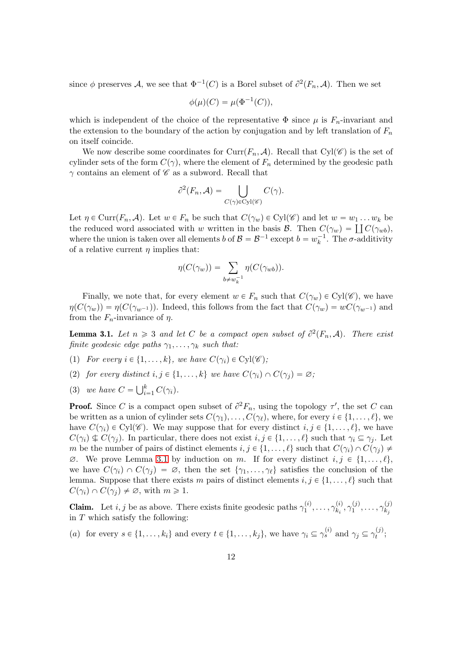since  $\phi$  preserves A, we see that  $\Phi^{-1}(C)$  is a Borel subset of  $\partial^2(F_n, A)$ . Then we set

$$
\phi(\mu)(C) = \mu(\Phi^{-1}(C)),
$$

which is independent of the choice of the representative  $\Phi$  since  $\mu$  is  $F_n$ -invariant and the extension to the boundary of the action by conjugation and by left translation of  $F_n$ on itself coincide.

We now describe some coordinates for Curr $(F_n, A)$ . Recall that Cyl $(\mathscr{C})$  is the set of cylinder sets of the form  $C(\gamma)$ , where the element of  $F_n$  determined by the geodesic path  $\gamma$  contains an element of  $\mathscr C$  as a subword. Recall that

$$
\partial^2(F_n, \mathcal{A}) = \bigcup_{C(\gamma) \in \text{Cyl}(\mathscr{C})} C(\gamma).
$$

Let  $\eta \in \text{Curr}(F_n, \mathcal{A})$ . Let  $w \in F_n$  be such that  $C(\gamma_w) \in \text{Cyl}(\mathscr{C})$  and let  $w = w_1 \dots w_k$  be the reduced word associated with w written in the basis  $\mathcal{B}$ . Then  $C(\gamma_w) = \prod C(\gamma_{wb})$ , where the union is taken over all elements  $b$  of  $\mathcal{B} = \mathcal{B}^{-1}$  except  $b = w_k^{-1}$ . The  $\sigma$ -additivity of a relative current  $\eta$  implies that:

$$
\eta(C(\gamma_w)) = \sum_{b \neq w_k^{-1}} \eta(C(\gamma_{wb})).
$$

Finally, we note that, for every element  $w \in F_n$  such that  $C(\gamma_w) \in Cyl(\mathscr{C})$ , we have  $\eta(C(\gamma_w)) = \eta(C(\gamma_{w^{-1}}))$ . Indeed, this follows from the fact that  $C(\gamma_w) = wC(\gamma_{w^{-1}})$  and from the  $F_n$ -invariance of  $\eta$ .

<span id="page-11-0"></span>**Lemma 3.1.** Let  $n \geq 3$  and let C be a compact open subset of  $\partial^2(F_n, \mathcal{A})$ . There exist finite geodesic edge paths  $\gamma_1, \ldots, \gamma_k$  such that:

- (1) For every  $i \in \{1, ..., k\}$ , we have  $C(\gamma_i) \in Cyl(\mathscr{C})$ ;
- (2) for every distinct  $i, j \in \{1, ..., k\}$  we have  $C(\gamma_i) \cap C(\gamma_j) = \emptyset$ ;
- (3) we have  $C = \bigcup_{i=1}^{k} C(\gamma_i)$ .

**Proof.** Since C is a compact open subset of  $\partial^2 F_n$ , using the topology  $\tau'$ , the set C can be written as a union of cylinder sets  $C(\gamma_1), \ldots, C(\gamma_\ell)$ , where, for every  $i \in \{1, \ldots, \ell\}$ , we have  $C(\gamma_i) \in Cyl(\mathscr{C})$ . We may suppose that for every distinct  $i, j \in \{1, \ldots, \ell\}$ , we have  $C(\gamma_i) \nsubseteq C(\gamma_j)$ . In particular, there does not exist  $i, j \in \{1, ..., \ell\}$  such that  $\gamma_i \subseteq \gamma_j$ . Let m be the number of pairs of distinct elements  $i, j \in \{1, ..., \ell\}$  such that  $C(\gamma_i) \cap C(\gamma_j) \neq \emptyset$  $\emptyset$ . We prove Lemma [3.1](#page-11-0) by induction on m. If for every distinct  $i, j \in \{1, \ldots, \ell\}$ , we have  $C(\gamma_i) \cap C(\gamma_j) = \emptyset$ , then the set  $\{\gamma_1, \ldots, \gamma_\ell\}$  satisfies the conclusion of the lemma. Suppose that there exists m pairs of distinct elements  $i, j \in \{1, \ldots, \ell\}$  such that  $C(\gamma_i) \cap C(\gamma_j) \neq \emptyset$ , with  $m \geq 1$ .

**Claim.** Let *i*, *j* be as above. There exists finite geodesic paths  $\gamma_1^{(i)}$  $\gamma_1^{(i)},\ldots,\gamma_{k_i}^{(i)}$  $\chi_{k_{i}}^{(i)},\gamma_{1}^{(j)}$  $\gamma_1^{(j)},\ldots,\gamma_{k_j}^{(j)}$  $k_j$ in  $T$  which satisfy the following:

(a) for every  $s \in \{1, ..., k_i\}$  and every  $t \in \{1, ..., k_j\}$ , we have  $\gamma_i \subseteq \gamma_s^{(i)}$  and  $\gamma_j \subseteq \gamma_t^{(j)}$  $t^{(J)}$ ;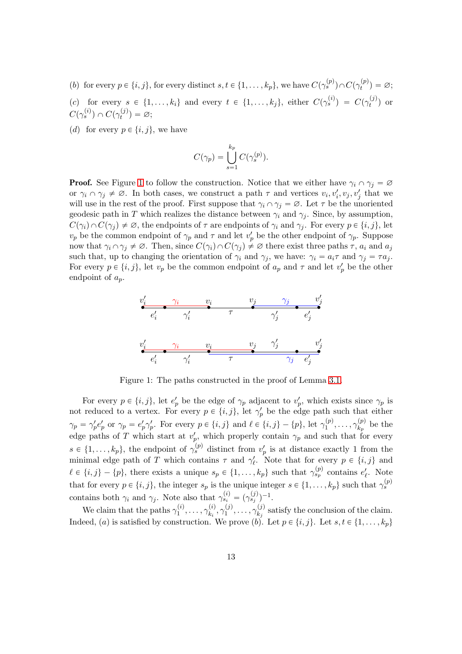- (b) for every  $p \in \{i, j\}$ , for every distinct  $s, t \in \{1, \ldots, k_p\}$ , we have  $C(\gamma_s^{(p)}) \cap C(\gamma_t^{(p)})$  $\binom{p}{t} = \varnothing;$
- (c) for every  $s \in \{1, ..., k_i\}$  and every  $t \in \{1, ..., k_j\}$ , either  $C(\gamma_s^{(i)}) = C(\gamma_t^{(j)})$  $t^{(J)}$  or  $C(\gamma_s^{(i)})\cap C(\gamma_t^{(j)}$  $\alpha_t^{(j)})=\varnothing;$
- (d) for every  $p \in \{i, j\}$ , we have

$$
C(\gamma_p) = \bigcup_{s=1}^{k_p} C(\gamma_s^{(p)}).
$$

**Proof.** See Figure [1](#page-12-0) to follow the construction. Notice that we either have  $\gamma_i \cap \gamma_j = \emptyset$ or  $\gamma_i \cap \gamma_j \neq \emptyset$ . In both cases, we construct a path  $\tau$  and vertices  $v_i, v'_i, v_j, v'_j$  that we will use in the rest of the proof. First suppose that  $\gamma_i \cap \gamma_j = \emptyset$ . Let  $\tau$  be the unoriented geodesic path in T which realizes the distance between  $\gamma_i$  and  $\gamma_j$ . Since, by assumption,  $C(\gamma_i) \cap C(\gamma_j) \neq \emptyset$ , the endpoints of  $\tau$  are endpoints of  $\gamma_i$  and  $\gamma_j$ . For every  $p \in \{i, j\}$ , let  $v_p$  be the common endpoint of  $\gamma_p$  and  $\tau$  and let  $v'_p$  be the other endpoint of  $\gamma_p$ . Suppose now that  $\gamma_i \cap \gamma_j \neq \emptyset$ . Then, since  $C(\gamma_i) \cap C(\gamma_j) \neq \emptyset$  there exist three paths  $\tau$ ,  $a_i$  and  $a_j$ such that, up to changing the orientation of  $\gamma_i$  and  $\gamma_j$ , we have:  $\gamma_i = a_i \tau$  and  $\gamma_j = \tau a_j$ . For every  $p \in \{i, j\}$ , let  $v_p$  be the common endpoint of  $a_p$  and  $\tau$  and let  $v'_p$  be the other endpoint of  $a_p$ .

<span id="page-12-0"></span>

Figure 1: The paths constructed in the proof of Lemma [3.1.](#page-11-0)

For every  $p \in \{i, j\}$ , let  $e'_p$  be the edge of  $\gamma_p$  adjacent to  $v'_p$ , which exists since  $\gamma_p$  is not reduced to a vertex. For every  $p \in \{i, j\}$ , let  $\gamma_p'$  be the edge path such that either  $\gamma_p = \gamma'_p e'_p$  or  $\gamma_p = e'_p \gamma'_p$ . For every  $p \in \{i, j\}$  and  $\ell \in \{i, j\} - \{p\}$ , let  $\gamma_1^{(p)}$  $\gamma_1^{(p)},\ldots,\gamma_{k_p}^{(p)}$  $\frac{\Delta(p)}{k_p}$  be the edge paths of T which start at  $v_p'$ , which properly contain  $\gamma_p$  and such that for every  $s \in \{1, \ldots, k_p\}$ , the endpoint of  $\gamma_s^{(p)}$  distinct from  $v_p'$  is at distance exactly 1 from the minimal edge path of T which contains  $\tau$  and  $\gamma'_{\ell}$ . Note that for every  $p \in \{i, j\}$  and  $\ell \in \{i, j\} - \{p\}$ , there exists a unique  $s_p \in \{1, \ldots, k_p\}$  such that  $\gamma_{s_p}^{(p)}$  contains  $e'_\ell$ . Note that for every  $p \in \{i, j\}$ , the integer  $s_p$  is the unique integer  $s \in \{1, \ldots, k_p\}$  such that  $\gamma_s^{(p)}$ contains both  $\gamma_i$  and  $\gamma_j$ . Note also that  $\gamma_{s_i}^{(i)} = (\gamma_{s_j}^{(j)})^{-1}$ .

We claim that the paths  $\gamma_1^{(i)}$  $\gamma_1^{(i)},\ldots,\gamma_{k_i}^{(i)}$  $\binom{(i)}{k_i}, \gamma_1^{(j)}$  $\gamma_1^{(j)},\ldots,\gamma_{k_j}^{(j)}$  $\mathbf{k}_j^{(J)}$  satisfy the conclusion of the claim. Indeed, (a) is satisfied by construction. We prove (b). Let  $p \in \{i, j\}$ . Let  $s, t \in \{1, \ldots, k_p\}$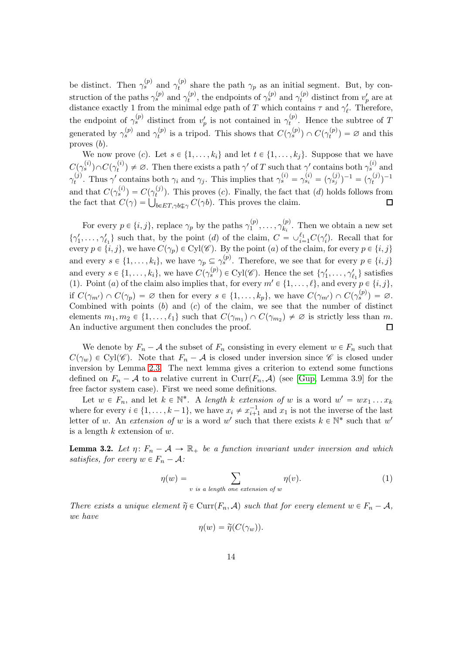be distinct. Then  $\gamma_s^{(p)}$  and  $\gamma_t^{(p)}$  $t<sup>(p)</sup>$  share the path  $\gamma_p$  as an initial segment. But, by construction of the paths  $\gamma_s^{(p)}$  and  $\gamma_t^{(p)}$  $t_t^{(p)}$ , the endpoints of  $\gamma_s^{(p)}$  and  $\gamma_t^{(p)}$  distinct from  $v'_p$  are at distance exactly 1 from the minimal edge path of T which contains  $\tau$  and  $\gamma'_{\ell}$ . Therefore, the endpoint of  $\gamma_s^{(p)}$  distinct from  $v'_p$  is not contained in  $\gamma_t^{(p)}$  $t^{(p)}$ . Hence the subtree of T generated by  $\gamma_s^{(p)}$  and  $\gamma_t^{(p)}$  $t_t^{(p)}$  is a tripod. This shows that  $C(\gamma_s^{(p)}) \cap C(\gamma_t^{(p)})$  $t_t^{(p)}$ ) =  $\varnothing$  and this proves  $(b)$ .

We now prove (c). Let  $s \in \{1, \ldots, k_i\}$  and let  $t \in \{1, \ldots, k_j\}$ . Suppose that we have  $C(\gamma_s^{(i)})\!\cap\! C(\gamma_t^{(i)}$  $t_i^{(i)}$   $\neq \emptyset$ . Then there exists a path  $\gamma'$  of T such that  $\gamma'$  contains both  $\gamma_s^{(i)}$  and  $\gamma_t^{(j)}$ (i). Thus  $\gamma'$  contains both  $\gamma_i$  and  $\gamma_j$ . This implies that  $\gamma_s^{(i)} = \gamma_{s_i}^{(i)} = (\gamma_{s_j}^{(j)})^{-1} = (\gamma_t^{(j)})$  $\binom{f^{(j)}}{t}$ <sup>-1</sup> and that  $C(\gamma_s^{(i)}) = C(\gamma_t^{(j)})$  $t^{(J)}$ ). This proves (c). Finally, the fact that (d) holds follows from the fact that  $C(\gamma) = \bigcup_{b \in ET, \gamma b \subseteq \gamma} C(\gamma b)$ . This proves the claim.

For every  $p \in \{i, j\}$ , replace  $\gamma_p$  by the paths  $\gamma_1^{(p)}$  $\gamma_1^{(p)},\ldots,\gamma_{k_i}^{(p)}$  $\mathbf{R}_i^{(p)}$ . Then we obtain a new set  $\{\gamma'_1,\ldots,\gamma'_{\ell_1}\}\$  such that, by the point (d) of the claim,  $C = \cup_{i=1}^{\ell_1} C(\gamma'_i)$ . Recall that for every  $p \in \{i, j\}$ , we have  $C(\gamma_p) \in Cyl(\mathscr{C})$ . By the point (a) of the claim, for every  $p \in \{i, j\}$ and every  $s \in \{1, \ldots, k_i\}$ , we have  $\gamma_p \subseteq \gamma_s^{(p)}$ . Therefore, we see that for every  $p \in \{i, j\}$ and every  $s \in \{1, \ldots, k_i\}$ , we have  $C(\gamma_s^{(p)}) \in \text{Cyl}(\mathscr{C})$ . Hence the set  $\{\gamma'_1, \ldots, \gamma'_{\ell_1}\}$  satisfies (1). Point (a) of the claim also implies that, for every  $m' \in \{1, \ldots, \ell\}$ , and every  $p \in \{i, j\}$ , if  $C(\gamma_{m'}) \cap C(\gamma_p) = \varnothing$  then for every  $s \in \{1, \ldots, k_p\}$ , we have  $C(\gamma_{m'}) \cap C(\gamma_s^{(p)}) = \varnothing$ . Combined with points  $(b)$  and  $(c)$  of the claim, we see that the number of distinct elements  $m_1, m_2 \in \{1, ..., \ell_1\}$  such that  $C(\gamma_{m_1}) \cap C(\gamma_{m_2}) \neq \emptyset$  is strictly less than m. An inductive argument then concludes the proof.  $\Box$ 

We denote by  $F_n - A$  the subset of  $F_n$  consisting in every element  $w \in F_n$  such that  $C(\gamma_w) \in Cyl(\mathscr{C})$ . Note that  $F_n - A$  is closed under inversion since  $\mathscr{C}$  is closed under inversion by Lemma [2.3.](#page-5-0) The next lemma gives a criterion to extend some functions defined on  $F_n - A$  to a relative current in  $Curr(F_n, A)$  (see [\[Gup,](#page-23-7) Lemma 3.9] for the free factor system case). First we need some definitions.

Let  $w \in F_n$ , and let  $k \in \mathbb{N}^*$ . A length k extension of w is a word  $w' = wx_1 \dots x_k$ where for every  $i \in \{1, ..., k-1\}$ , we have  $x_i \neq x_{i+1}^{-1}$  and  $x_1$  is not the inverse of the last letter of w. An extension of w is a word w' such that there exists  $k \in \mathbb{N}^*$  such that w' is a length  $k$  extension of  $w$ .

<span id="page-13-1"></span>**Lemma 3.2.** Let  $\eta: F_n - A \to \mathbb{R}_+$  be a function invariant under inversion and which satisfies, for every  $w \in F_n - A$ :

<span id="page-13-0"></span>
$$
\eta(w) = \sum_{v \text{ is a length one extension of } w} \eta(v). \tag{1}
$$

There exists a unique element  $\widetilde{\eta} \in \text{Curr}(F_n, \mathcal{A})$  such that for every element  $w \in F_n - \mathcal{A}$ , we have

$$
\eta(w) = \widetilde{\eta}(C(\gamma_w)).
$$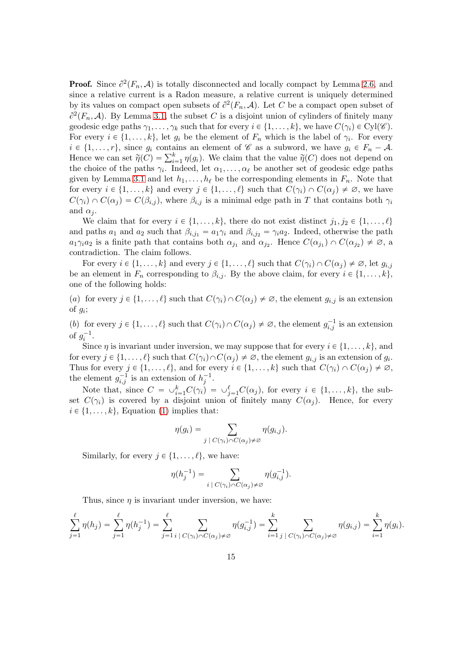**Proof.** Since  $\partial^2(F_n, \mathcal{A})$  is totally disconnected and locally compact by Lemma [2.6,](#page-9-1) and since a relative current is a Radon measure, a relative current is uniquely determined by its values on compact open subsets of  $\partial^2(F_n, A)$ . Let C be a compact open subset of  $\partial^2(F_n, \mathcal{A})$ . By Lemma [3.1,](#page-11-0) the subset C is a disjoint union of cylinders of finitely many geodesic edge paths  $\gamma_1, \ldots, \gamma_k$  such that for every  $i \in \{1, \ldots, k\}$ , we have  $C(\gamma_i) \in Cyl(\mathscr{C})$ . For every  $i \in \{1, ..., k\}$ , let  $g_i$  be the element of  $F_n$  which is the label of  $\gamma_i$ . For every  $i \in \{1, \ldots, r\}$ , since  $g_i$  contains an element of  $\mathscr C$  as a subword, we have  $g_i \in F_n - \mathcal A$ . Hence we can set  $\widetilde{\eta}(C) = \sum_{i=1}^{k} \eta(g_i)$ . We claim that the value  $\widetilde{\eta}(C)$  does not depend on the choice of the paths  $\gamma_i$ . Indeed, let  $\alpha_1, \ldots, \alpha_\ell$  be another set of geodesic edge paths given by Lemma [3.1](#page-11-0) and let  $h_1, \ldots, h_\ell$  be the corresponding elements in  $F_n$ . Note that for every  $i \in \{1, ..., k\}$  and every  $j \in \{1, ..., \ell\}$  such that  $C(\gamma_i) \cap C(\alpha_j) \neq \emptyset$ , we have  $C(\gamma_i) \cap C(\alpha_j) = C(\beta_{i,j})$ , where  $\beta_{i,j}$  is a minimal edge path in T that contains both  $\gamma_i$ and  $\alpha_i$ .

We claim that for every  $i \in \{1, ..., k\}$ , there do not exist distinct  $j_1, j_2 \in \{1, ..., \ell\}$ and paths  $a_1$  and  $a_2$  such that  $\beta_{i,j_1} = a_1 \gamma_i$  and  $\beta_{i,j_2} = \gamma_i a_2$ . Indeed, otherwise the path  $a_1\gamma_i a_2$  is a finite path that contains both  $\alpha_{j_1}$  and  $\alpha_{j_2}$ . Hence  $C(\alpha_{j_1}) \cap C(\alpha_{j_2}) \neq \emptyset$ , a contradiction. The claim follows.

For every  $i \in \{1, \ldots, k\}$  and every  $j \in \{1, \ldots, \ell\}$  such that  $C(\gamma_i) \cap C(\alpha_j) \neq \emptyset$ , let  $g_{i,j}$ be an element in  $F_n$  corresponding to  $\beta_{i,j}$ . By the above claim, for every  $i \in \{1, \ldots, k\}$ , one of the following holds:

(a) for every  $j \in \{1, ..., \ell\}$  such that  $C(\gamma_i) \cap C(\alpha_j) \neq \emptyset$ , the element  $g_{i,j}$  is an extension of  $g_i$ ;

(b) for every  $j \in \{1, \ldots, \ell\}$  such that  $C(\gamma_i) \cap C(\alpha_j) \neq \emptyset$ , the element  $g_{i,j}^{-1}$  is an extension of  $g_i^{-1}$ .

Since  $\eta$  is invariant under inversion, we may suppose that for every  $i \in \{1, \ldots, k\}$ , and for every  $j \in \{1, ..., \ell\}$  such that  $C(\gamma_i) \cap C(\alpha_j) \neq \emptyset$ , the element  $g_{i,j}$  is an extension of  $g_i$ . Thus for every  $j \in \{1, ..., \ell\}$ , and for every  $i \in \{1, ..., k\}$  such that  $C(\gamma_i) \cap C(\alpha_j) \neq \emptyset$ , the element  $g_{i,j}^{-1}$  is an extension of  $h_j^{-1}$ .

Note that, since  $C = \bigcup_{i=1}^k C(\gamma_i) = \bigcup_{j=1}^\ell C(\alpha_j)$ , for every  $i \in \{1, ..., k\}$ , the subset  $C(\gamma_i)$  is covered by a disjoint union of finitely many  $C(\alpha_i)$ . Hence, for every  $i \in \{1, \ldots, k\}$ , Equation [\(1\)](#page-13-0) implies that:

$$
\eta(g_i) = \sum_{j \; | \; C(\gamma_i) \cap C(\alpha_j) \neq \varnothing} \eta(g_{i,j}).
$$

Similarly, for every  $j \in \{1, \ldots, \ell\}$ , we have:

$$
\eta(h_j^{-1}) = \sum_{i \; | \; C(\gamma_i) \cap C(\alpha_j) \neq \varnothing} \eta(g_{i,j}^{-1}).
$$

Thus, since  $\eta$  is invariant under inversion, we have:

$$
\sum_{j=1}^{\ell} \eta(h_j) = \sum_{j=1}^{\ell} \eta(h_j^{-1}) = \sum_{j=1}^{\ell} \sum_{i \,|\, C(\gamma_i) \cap C(\alpha_j) \neq \varnothing} \eta(g_{i,j}^{-1}) = \sum_{i=1}^{k} \sum_{j \,|\, C(\gamma_i) \cap C(\alpha_j) \neq \varnothing} \eta(g_{i,j}) = \sum_{i=1}^{k} \eta(g_i).
$$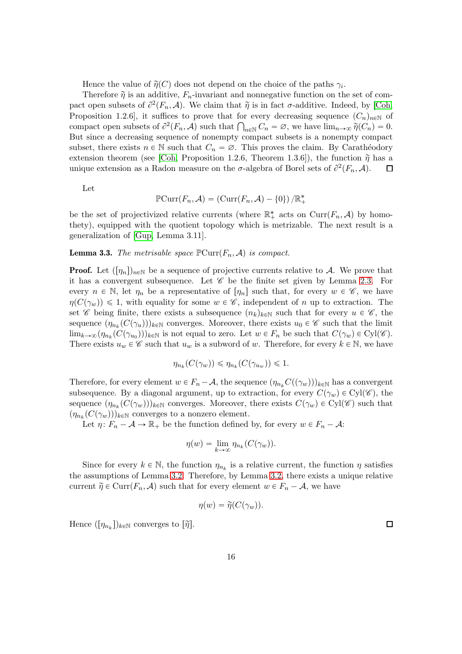Hence the value of  $\widetilde{\eta}(C)$  does not depend on the choice of the paths  $\gamma_i$ .

Therefore  $\tilde{\eta}$  is an additive,  $F_n$ -invariant and nonnegative function on the set of compact open subsets of  $\partial^2(F_n, \mathcal{A})$ . We claim that  $\widetilde{\eta}$  is in fact  $\sigma$ -additive. Indeed, by [\[Coh,](#page-23-14) Proposition 1.2.6], it suffices to prove that for every decreasing sequence  $(C_n)_{n\in\mathbb{N}}$  of compact open subsets of  $\partial^2(F_n, A)$  such that  $\bigcap_{n \in \mathbb{N}} C_n = \emptyset$ , we have  $\lim_{n \to \infty} \widetilde{\eta}(C_n) = 0$ . But since a decreasing sequence of nonempty compact subsets is a nonempty compact subset, there exists  $n \in \mathbb{N}$  such that  $C_n = \emptyset$ . This proves the claim. By Carathéodory extension theorem (see [\[Coh,](#page-23-14) Proposition 1.2.6, Theorem 1.3.6]), the function  $\tilde{\eta}$  has a unique extension as a Radon measure on the  $\sigma$ -algebra of Borel sets of  $\partial^2(F_n, \mathcal{A})$ . unique extension as a Radon measure on the  $\sigma$ -algebra of Borel sets of  $\partial^2(F_n, A)$ .

Let

$$
\mathbb{P}\mathrm{Curr}(F_n,\mathcal{A})=\left(\mathrm{Curr}(F_n,\mathcal{A})-\{0\}\right)/\mathbb{R}_+^*
$$

be the set of projectivized relative currents (where  $\mathbb{R}^*$  acts on  $\text{Curr}(F_n, A)$  by homothety), equipped with the quotient topology which is metrizable. The next result is a generalization of [\[Gup,](#page-23-7) Lemma 3.11].

**Lemma 3.3.** The metrisable space  $\mathbb{P} \text{Curr}(F_n, \mathcal{A})$  is compact.

**Proof.** Let  $(\eta_n)|_{n\in\mathbb{N}}$  be a sequence of projective currents relative to A. We prove that it has a convergent subsequence. Let  $\mathscr C$  be the finite set given by Lemma [2.3.](#page-5-0) For every  $n \in \mathbb{N}$ , let  $\eta_n$  be a representative of  $[\eta_n]$  such that, for every  $w \in \mathscr{C}$ , we have  $\eta(C(\gamma_w)) \leq 1$ , with equality for some  $w \in \mathscr{C}$ , independent of n up to extraction. The set C being finite, there exists a subsequence  $(n_k)_{k\in\mathbb{N}}$  such that for every  $u \in \mathscr{C}$ , the sequence  $(\eta_{n_k}(C(\gamma_u)))_{k\in\mathbb{N}}$  converges. Moreover, there exists  $u_0 \in \mathscr{C}$  such that the limit  $\lim_{k\to\infty}(\eta_{n_k}(C(\gamma_{u_0})))_{k\in\mathbb{N}}$  is not equal to zero. Let  $w\in F_n$  be such that  $C(\gamma_w)\in\text{Cyl}(\mathscr{C})$ . There exists  $u_w \in \mathscr{C}$  such that  $u_w$  is a subword of w. Therefore, for every  $k \in \mathbb{N}$ , we have

$$
\eta_{n_k}(C(\gamma_w)) \leq \eta_{n_k}(C(\gamma_{u_w})) \leq 1.
$$

Therefore, for every element  $w \in F_n - A$ , the sequence  $(\eta_{n_k}C(\gamma_w))_{k \in \mathbb{N}}$  has a convergent subsequence. By a diagonal argument, up to extraction, for every  $C(\gamma_w) \in Cyl(\mathscr{C})$ , the sequence  $(\eta_{n_k}(C(\gamma_w)))_{k\in\mathbb{N}}$  converges. Moreover, there exists  $C(\gamma_w) \in Cyl(\mathscr{C})$  such that  $(\eta_{n_k}(C(\gamma_w)))_{k \in \mathbb{N}}$  converges to a nonzero element.

Let  $\eta: F_n - A \to \mathbb{R}_+$  be the function defined by, for every  $w \in F_n - A$ :

$$
\eta(w) = \lim_{k \to \infty} \eta_{n_k}(C(\gamma_w)).
$$

Since for every  $k \in \mathbb{N}$ , the function  $\eta_{n_k}$  is a relative current, the function  $\eta$  satisfies the assumptions of Lemma [3.2.](#page-13-1) Therefore, by Lemma [3.2,](#page-13-1) there exists a unique relative current  $\widetilde{\eta} \in \text{Curr}(F_n, \mathcal{A})$  such that for every element  $w \in F_n - \mathcal{A}$ , we have

$$
\eta(w) = \widetilde{\eta}(C(\gamma_w)).
$$

Hence  $(\lceil \eta_{n_k}\rceil)_{k\in\mathbb{N}}$  converges to  $\lceil \widetilde{\eta} \rceil$ .

 $\Box$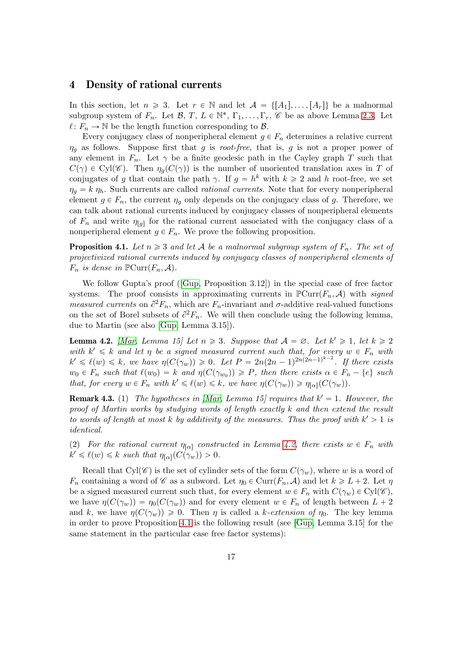### 4 Density of rational currents

In this section, let  $n \geq 3$ . Let  $r \in \mathbb{N}$  and let  $\mathcal{A} = \{[A_1], \ldots, [A_r]\}$  be a malnormal subgroup system of  $F_n$ . Let  $\mathcal{B}, T, L \in \mathbb{N}^*, \Gamma_1, \ldots, \Gamma_r, \mathscr{C}$  be as above Lemma [2.3.](#page-5-0) Let  $\ell: F_n \to \mathbb{N}$  be the length function corresponding to  $\mathcal{B}$ .

Every conjugacy class of nonperipheral element  $g \in F_n$  determines a relative current  $\eta_g$  as follows. Suppose first that g is root-free, that is, g is not a proper power of any element in  $F_n$ . Let  $\gamma$  be a finite geodesic path in the Cayley graph T such that  $C(\gamma) \in Cyl(\mathscr{C})$ . Then  $\eta_q(C(\gamma))$  is the number of unoriented translation axes in T of conjugates of g that contain the path  $\gamma$ . If  $g = h^k$  with  $k \geq 2$  and h root-free, we set  $\eta_g = k \eta_h$ . Such currents are called *rational currents*. Note that for every nonperipheral element  $g \in F_n$ , the current  $\eta_q$  only depends on the conjugacy class of g. Therefore, we can talk about rational currents induced by conjugacy classes of nonperipheral elements of  $F_n$  and write  $\eta_{[g]}$  for the rational current associated with the conjugacy class of a nonperipheral element  $g \in F_n$ . We prove the following proposition.

<span id="page-16-1"></span>**Proposition 4.1.** Let  $n \geq 3$  and let A be a malnormal subgroup system of  $F_n$ . The set of projectivized rational currents induced by conjugacy classes of nonperipheral elements of  $F_n$  is dense in  $\mathbb{P} \text{Curr}(F_n, \mathcal{A})$ .

We follow Gupta's proof([\[Gup,](#page-23-7) Proposition 3.12]) in the special case of free factor systems. The proof consists in approximating currents in  $\mathbb{P} \text{Curr}(F_n, \mathcal{A})$  with signed measured currents on  $\partial^2 F_n$ , which are  $F_n$ -invariant and  $\sigma$ -additive real-valued functions on the set of Borel subsets of  $\partial^2 F_n$ . We will then conclude using the following lemma, due to Martin (see also [\[Gup,](#page-23-7) Lemma 3.15]).

<span id="page-16-0"></span>**Lemma 4.2.** [\[Mar,](#page-24-3) Lemma 15] Let  $n \geq 3$ . Suppose that  $A = \emptyset$ . Let  $k' \geq 1$ , let  $k \geq 2$ with  $k' \leq k$  and let  $\eta$  be a signed measured current such that, for every  $w \in F_n$  with  $k' \leq \ell(w) \leq k$ , we have  $\eta(C(\gamma_w)) \geq 0$ . Let  $P = 2n(2n-1)^{2n(2n-1)^{k-2}}$ . If there exists  $w_0 \in F_n$  such that  $\ell(w_0) = k$  and  $\eta(C(\gamma_{w_0})) \geqslant P$ , then there exists  $\alpha \in F_n - \{e\}$  such that, for every  $w \in F_n$  with  $k' \leq \ell(w) \leq k$ , we have  $\eta(C(\gamma_w)) \geq \eta_{[\alpha]}(C(\gamma_w))$ .

<span id="page-16-2"></span>**Remark 4.3.** (1) The hypotheses in [\[Mar,](#page-24-3) Lemma 15] requires that  $k' = 1$ . However, the proof of Martin works by studying words of length exactly k and then extend the result to words of length at most k by additivity of the measures. Thus the proof with  $k' > 1$  is identical.

(2) For the rational current  $\eta_{\alpha}$  constructed in Lemma [4.2,](#page-16-0) there exists  $w \in F_n$  with  $k' \leq \ell(w) \leq k$  such that  $\eta_{[\alpha]}(C(\gamma_w)) > 0$ .

Recall that Cyl $(\mathscr{C})$  is the set of cylinder sets of the form  $C(\gamma_w)$ , where w is a word of  $F_n$  containing a word of  $\mathscr C$  as a subword. Let  $\eta_0 \in \text{Curr}(F_n, \mathcal A)$  and let  $k \geq L + 2$ . Let  $\eta$ be a signed measured current such that, for every element  $w \in F_n$  with  $C(\gamma_w) \in Cyl(\mathscr{C})$ , we have  $\eta(C(\gamma_w)) = \eta_0(C(\gamma_w))$  and for every element  $w \in F_n$  of length between  $L + 2$ and k, we have  $\eta(C(\gamma_w)) \geq 0$ . Then  $\eta$  is called a k-extension of  $\eta_0$ . The key lemma in order to prove Proposition [4.1](#page-16-1) is the following result (see [\[Gup,](#page-23-7) Lemma 3.15] for the same statement in the particular case free factor systems):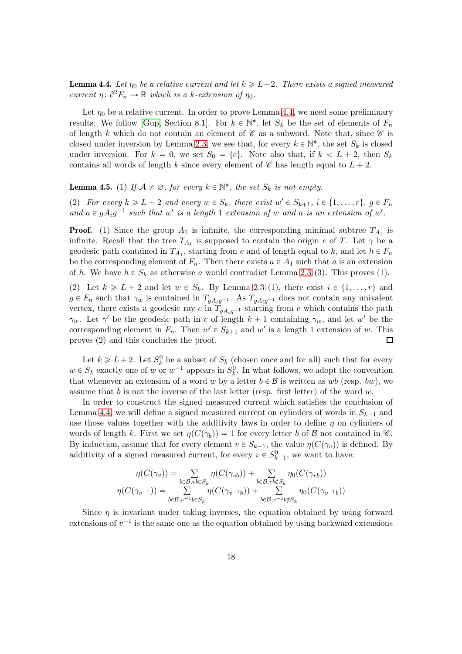<span id="page-17-0"></span>**Lemma 4.4.** Let  $\eta_0$  be a relative current and let  $k \geq L+2$ . There exists a signed measured current  $\eta: \partial^2 F_n \to \mathbb{R}$  which is a k-extension of  $\eta_0$ .

Let  $\eta_0$  be a relative current. In order to prove Lemma [4.4,](#page-17-0) we need some preliminary results. We follow [\[Gup,](#page-23-7) Section 8.1]. For  $k \in \mathbb{N}^*$ , let  $S_k$  be the set of elements of  $F_n$ of length k which do not contain an element of  $\mathscr C$  as a subword. Note that, since  $\mathscr C$  is closed under inversion by Lemma [2.3,](#page-5-0) we see that, for every  $k \in \mathbb{N}^*$ , the set  $S_k$  is closed under inversion. For  $k = 0$ , we set  $S_0 = \{e\}$ . Note also that, if  $k < L + 2$ , then  $S_k$ contains all words of length k since every element of  $\mathscr C$  has length equal to  $L + 2$ .

## <span id="page-17-1"></span>**Lemma 4.5.** (1) If  $A \neq \emptyset$ , for every  $k \in \mathbb{N}^*$ , the set  $S_k$  is not empty.

(2) For every  $k \geq L + 2$  and every  $w \in S_k$ , there exist  $w' \in S_{k+1}$ ,  $i \in \{1, ..., r\}$ ,  $g \in F_n$ and  $a \in gA_i g^{-1}$  such that w' is a length 1 extension of w and a is an extension of w'.

**Proof.** (1) Since the group  $A_1$  is infinite, the corresponding minimal subtree  $T_{A_1}$  is infinite. Recall that the tree  $T_{A_1}$  is supposed to contain the origin e of T. Let  $\gamma$  be a geodesic path contained in  $T_{A_1}$ , starting from e and of length equal to k, and let  $h \in F_n$ be the corresponding element of  $F_n$ . Then there exists  $a \in A_1$  such that a is an extension of h. We have  $h \in S_k$  as otherwise a would contradict Lemma [2.3](#page-5-0) (3). This proves (1).

(2) Let  $k \ge L + 2$  and let  $w \in S_k$ . By Lemma [2.3](#page-5-0) (1), there exist  $i \in \{1, ..., r\}$  and  $g \in F_n$  such that  $\gamma_w$  is contained in  $T_{gA_ig^{-1}}$ . As  $T_{gA_ig^{-1}}$  does not contain any univalent vertex, there exists a geodesic ray c in  $T_{gA_ig^{-1}}$  starting from e which contains the path  $\gamma_w$ . Let  $\gamma'$  be the geodesic path in c of length  $k+1$  containing  $\gamma_w$ , and let w' be the corresponding element in  $F_n$ . Then  $w' \in S_{k+1}$  and  $w'$  is a length 1 extension of w. This proves  $(2)$  and this concludes the proof.  $\Box$ 

Let  $k \ge L + 2$ . Let  $S_k^0$  be a subset of  $S_k$  (chosen once and for all) such that for every  $w \in S_k$  exactly one of w or  $w^{-1}$  appears in  $S_k^0$ . In what follows, we adopt the convention that whenever an extension of a word w by a letter  $b \in \mathcal{B}$  is written as wb (resp. bw), we assume that b is not the inverse of the last letter (resp. first letter) of the word  $w$ .

In order to construct the signed measured current which satisfies the conclusion of Lemma [4.4,](#page-17-0) we will define a signed measured current on cylinders of words in  $S_{k-1}$  and use those values together with the additivity laws in order to define  $\eta$  on cylinders of words of length k. First we set  $\eta(C(\gamma_b)) = 1$  for every letter b of B not contained in  $\mathscr C$ . By induction, assume that for every element  $v \in S_{k-1}$ , the value  $\eta(C(\gamma_v))$  is defined. By additivity of a signed measured current, for every  $v \in S_{k-1}^0$ , we want to have:

$$
\eta(C(\gamma_v)) = \sum_{b \in \mathcal{B}, v b \in S_k} \eta(C(\gamma_{vb})) + \sum_{b \in \mathcal{B}, v b \notin S_k} \eta_0(C(\gamma_{vb}))
$$

$$
\eta(C(\gamma_{v^{-1}})) = \sum_{b \in \mathcal{B}, v^{-1}b \in S_k} \eta(C(\gamma_{v^{-1}b})) + \sum_{b \in \mathcal{B}, v^{-1}b \notin S_k} \eta_0(C(\gamma_{v^{-1}b}))
$$

Since  $\eta$  is invariant under taking inverses, the equation obtained by using forward extensions of  $v^{-1}$  is the same one as the equation obtained by using backward extensions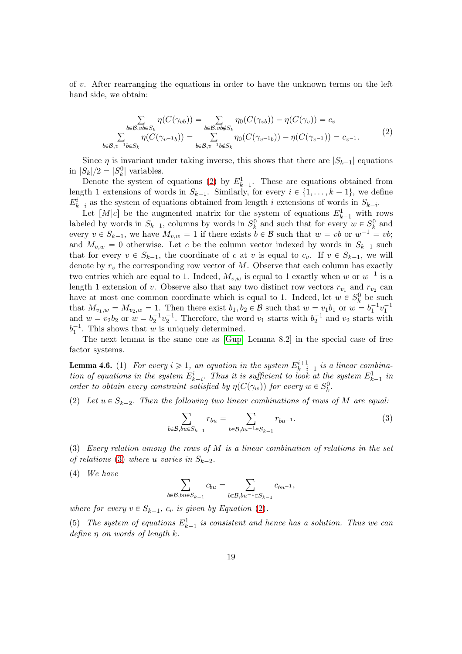of v. After rearranging the equations in order to have the unknown terms on the left hand side, we obtain:

<span id="page-18-0"></span>
$$
\sum_{b \in \mathcal{B}, v b \in S_k} \eta(C(\gamma_{vb})) = \sum_{b \in \mathcal{B}, v b \notin S_k} \eta_0(C(\gamma_{vb})) - \eta(C(\gamma_v)) = c_v
$$
\n
$$
\sum_{b \in \mathcal{B}, v^{-1} b \in S_k} \eta(C(\gamma_{v^{-1}b})) = \sum_{b \in \mathcal{B}, v^{-1} b \notin S_k} \eta_0(C(\gamma_{v^{-1}b})) - \eta(C(\gamma_{v^{-1}})) = c_{v^{-1}}.
$$
\n(2)

Since  $\eta$  is invariant under taking inverse, this shows that there are  $|S_{k-1}|$  equations in  $|S_k|/2 = |S_k^0|$  variables.

Denote the system of equations [\(2\)](#page-18-0) by  $E_{k-1}^1$ . These are equations obtained from length 1 extensions of words in  $S_{k-1}$ . Similarly, for every  $i \in \{1, \ldots, k-1\}$ , we define  $E_{k-i}^i$  as the system of equations obtained from length i extensions of words in  $S_{k-i}$ .

Let  $[M|c]$  be the augmented matrix for the system of equations  $E_{k-1}^1$  with rows labeled by words in  $S_{k-1}$ , columns by words in  $S_k^0$  and such that for every  $w \in S_k^0$  and every  $v \in S_{k-1}$ , we have  $M_{v,w} = 1$  if there exists  $b \in \mathcal{B}$  such that  $w = vb$  or  $w^{-1} = vb$ ; and  $M_{v,w} = 0$  otherwise. Let c be the column vector indexed by words in  $S_{k-1}$  such that for every  $v \in S_{k-1}$ , the coordinate of c at v is equal to  $c_v$ . If  $v \in S_{k-1}$ , we will denote by  $r_v$  the corresponding row vector of M. Observe that each column has exactly two entries which are equal to 1. Indeed,  $M_{v,w}$  is equal to 1 exactly when w or  $w^{-1}$  is a length 1 extension of v. Observe also that any two distinct row vectors  $r_{v_1}$  and  $r_{v_2}$  can have at most one common coordinate which is equal to 1. Indeed, let  $w \in S_k^0$  be such that  $M_{v_1,w} = M_{v_2,w} = 1$ . Then there exist  $b_1, b_2 \in \mathcal{B}$  such that  $w = v_1b_1$  or  $w = b_1^{-1}v_1^{-1}$ and  $w = v_2b_2$  or  $w = b_2^{-1}v_2^{-1}$ . Therefore, the word  $v_1$  starts with  $b_2^{-1}$  and  $v_2$  starts with  $b_1^{-1}$ . This shows that w is uniquely determined.

The next lemma is the same one as [\[Gup,](#page-23-7) Lemma 8.2] in the special case of free factor systems.

<span id="page-18-2"></span>**Lemma 4.6.** (1) For every  $i \geq 1$ , an equation in the system  $E_{k-i}^{i+1}$  $\sum_{k-i-1}^{i+1}$  is a linear combination of equations in the system  $E_{k-i}^i$ . Thus it is sufficient to look at the system  $E_{k-1}^1$  in order to obtain every constraint satisfied by  $\eta(C(\gamma_w))$  for every  $w \in S_k^0$ .

(2) Let  $u \in S_{k-2}$ . Then the following two linear combinations of rows of M are equal:

<span id="page-18-1"></span>
$$
\sum_{b \in \mathcal{B}, bu \in S_{k-1}} r_{bu} = \sum_{b \in \mathcal{B}, bu^{-1} \in S_{k-1}} r_{bu^{-1}}.
$$
 (3)

(3) Every relation among the rows of M is a linear combination of relations in the set of relations [\(3\)](#page-18-1) where u varies in  $S_{k-2}$ .

 $(4)$  We have

$$
\sum_{b \in \mathcal{B}, bu \in S_{k-1}} c_{bu} = \sum_{b \in \mathcal{B}, bu^{-1} \in S_{k-1}} c_{bu^{-1}},
$$

where for every  $v \in S_{k-1}$ ,  $c_v$  is given by Equation [\(2\)](#page-18-0).

(5) The system of equations  $E_{k-1}^1$  is consistent and hence has a solution. Thus we can define  $\eta$  on words of length  $k$ .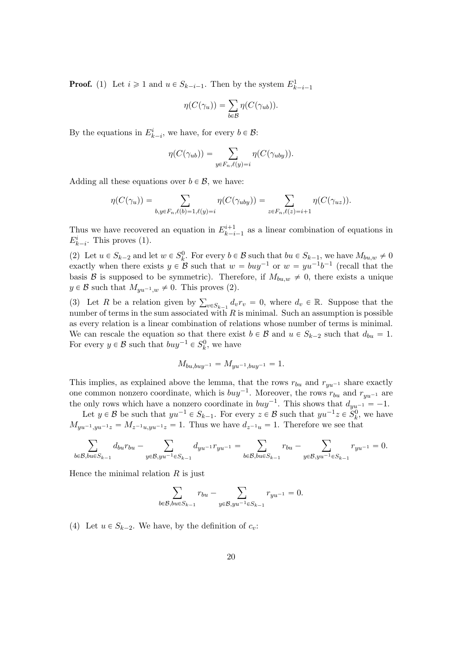**Proof.** (1) Let  $i \ge 1$  and  $u \in S_{k-i-1}$ . Then by the system  $E_{k-i-1}^1$ 

$$
\eta(C(\gamma_u)) = \sum_{b \in \mathcal{B}} \eta(C(\gamma_{ub})).
$$

By the equations in  $E_{k-i}^i$ , we have, for every  $b \in \mathcal{B}$ :

$$
\eta(C(\gamma_{ub})) = \sum_{y \in F_n, \ell(y)=i} \eta(C(\gamma_{uby})).
$$

Adding all these equations over  $b \in \mathcal{B}$ , we have:

$$
\eta(C(\gamma_u)) = \sum_{b,y \in F_n, \ell(b)=1, \ell(y)=i} \eta(C(\gamma_{uby})) = \sum_{z \in F_n, \ell(z)=i+1} \eta(C(\gamma_{uz})).
$$

Thus we have recovered an equation in  $E_{k-i}^{i+1}$  $\binom{n+1}{k-i-1}$  as a linear combination of equations in  $E_{k-i}^i$ . This proves (1).

(2) Let  $u \in S_{k-2}$  and let  $w \in S_k^0$ . For every  $b \in \mathcal{B}$  such that  $bu \in S_{k-1}$ , we have  $M_{bu,w} \neq 0$ exactly when there exists  $y \in \mathcal{B}$  such that  $w = buy^{-1}$  or  $w = yu^{-1}b^{-1}$  (recall that the basis B is supposed to be symmetric). Therefore, if  $M_{bu,w} \neq 0$ , there exists a unique  $y \in \mathcal{B}$  such that  $M_{yu^{-1},w} \neq 0$ . This proves (2).

(3) Let R be a relation given by  $\sum_{v \in S_{k-1}} d_v r_v = 0$ , where  $d_v \in \mathbb{R}$ . Suppose that the number of terms in the sum associated with  $R$  is minimal. Such an assumption is possible as every relation is a linear combination of relations whose number of terms is minimal. We can rescale the equation so that there exist  $b \in \mathcal{B}$  and  $u \in S_{k-2}$  such that  $d_{bu} = 1$ . For every  $y \in \mathcal{B}$  such that  $buy^{-1} \in S_k^0$ , we have

$$
M_{bu,buy^{-1}} = M_{yu^{-1}, buy^{-1}} = 1.
$$

This implies, as explained above the lemma, that the rows  $r_{bu}$  and  $r_{yu^{-1}}$  share exactly one common nonzero coordinate, which is  $buy^{-1}$ . Moreover, the rows  $r_{bu}$  and  $r_{yu^{-1}}$  are the only rows which have a nonzero coordinate in  $buy^{-1}$ . This shows that  $d_{yu^{-1}} = -1$ .

Let  $y \in \mathcal{B}$  be such that  $yu^{-1} \in S_{k-1}$ . For every  $z \in \mathcal{B}$  such that  $yu^{-1}z \in S_k^0$ , we have  $M_{yu^{-1},yu^{-1}z} = M_{z^{-1}u,yu^{-1}z} = 1.$  Thus we have  $d_{z^{-1}u} = 1.$  Therefore we see that

$$
\sum_{b \in \mathcal{B}, bu \in S_{k-1}} d_{bu} r_{bu} - \sum_{y \in \mathcal{B}, yu^{-1} \in S_{k-1}} d_{yu^{-1}} r_{yu^{-1}} = \sum_{b \in \mathcal{B}, bu \in S_{k-1}} r_{bu} - \sum_{y \in \mathcal{B}, yu^{-1} \in S_{k-1}} r_{yu^{-1}} = 0.
$$

Hence the minimal relation  $R$  is just

$$
\sum_{b \in \mathcal{B}, bu \in S_{k-1}} r_{bu} - \sum_{y \in \mathcal{B}, yu^{-1} \in S_{k-1}} r_{yu^{-1}} = 0.
$$

(4) Let  $u \in S_{k-2}$ . We have, by the definition of  $c_v$ :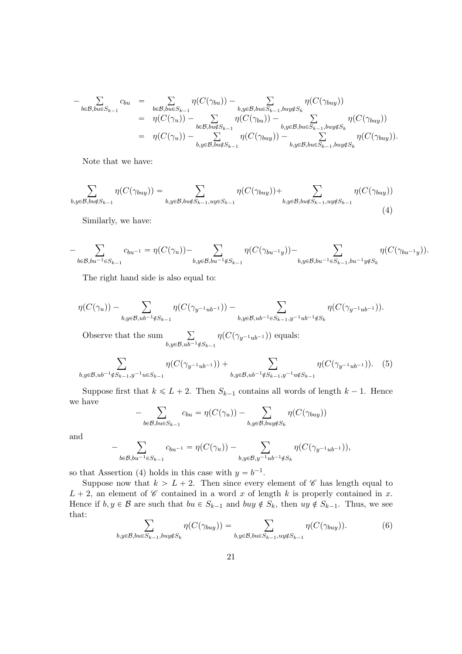$$
-\sum_{b\in\mathcal{B},bu\in S_{k-1}}c_{bu} = \sum_{b\in\mathcal{B},bu\in S_{k-1}}\eta(C(\gamma_{bu})) - \sum_{b,y\in\mathcal{B},bu\in S_{k-1},buy\notin S_k}\eta(C(\gamma_{buy}))
$$
  
\n
$$
= \eta(C(\gamma_u)) - \sum_{b\in\mathcal{B},bu\notin S_{k-1}}\eta(C(\gamma_{bu})) - \sum_{b,y\in\mathcal{B},bu\in S_{k-1},buy\notin S_k}\eta(C(\gamma_{buy}))
$$
  
\n
$$
= \eta(C(\gamma_u)) - \sum_{b,y\in\mathcal{B},bu\notin S_{k-1}}\eta(C(\gamma_{buy})) - \sum_{b,y\in\mathcal{B},bu\in S_{k-1},buy\notin S_k}\eta(C(\gamma_{buy})).
$$

Note that we have:

<span id="page-20-0"></span>
$$
\sum_{b,y\in\mathcal{B},bu\notin S_{k-1}}\eta(C(\gamma_{buy}))=\sum_{b,y\in\mathcal{B},bu\notin S_{k-1},uy\in S_{k-1}}\eta(C(\gamma_{buy}))+\sum_{b,y\in\mathcal{B},bu\notin S_{k-1},uy\notin S_{k-1}}\eta(C(\gamma_{buy}))\tag{4}
$$

Similarly, we have:

$$
-\sum_{b\in \mathcal{B}, bu^{-1}\in S_{k-1}}c_{bu^{-1}}=\eta(C(\gamma_u))-\sum_{b,y\in \mathcal{B}, bu^{-1}\notin S_{k-1}}\eta(C(\gamma_{bu^{-1}y}))-\sum_{b,y\in \mathcal{B}, bu^{-1}\in S_{k-1}, bu^{-1}y\notin S_{k}}\eta(C(\gamma_{bu^{-1}y})).
$$

The right hand side is also equal to:

$$
\eta(C(\gamma_u)) - \sum_{b,y \in \mathcal{B}, ub^{-1} \notin S_{k-1}} \eta(C(\gamma_{y^{-1}ub^{-1}})) - \sum_{b,y \in \mathcal{B}, ub^{-1} \in S_{k-1}, y^{-1}ub^{-1} \notin S_k} \eta(C(\gamma_{y^{-1}ub^{-1}})).
$$

Observe that the sum  $\sum$  $b,y \in \mathcal{B}, u\overline{b^{-1}} \notin S_{k-1}$  $\eta(C(\gamma_{y^{-1}ub^{-1}}))$  equals:

<span id="page-20-1"></span>
$$
\sum_{b,y \in \mathcal{B}, ub^{-1} \notin S_{k-1}, y^{-1}u \in S_{k-1}} \eta(C(\gamma_{y^{-1}ub^{-1}})) + \sum_{b,y \in \mathcal{B}, ub^{-1} \notin S_{k-1}, y^{-1}u \notin S_{k-1}} \eta(C(\gamma_{y^{-1}ub^{-1}})).
$$
 (5)

Suppose first that  $k \le L + 2$ . Then  $S_{k-1}$  contains all words of length  $k - 1$ . Hence we have

$$
-\sum_{b \in \mathcal{B}, bu \in S_{k-1}} c_{bu} = \eta(C(\gamma_u)) - \sum_{b,y \in \mathcal{B}, buy \notin S_k} \eta(C(\gamma_{buy}))
$$

and

$$
-\sum_{b\in\mathcal{B}, bu^{-1}\in S_{k-1}}c_{bu^{-1}}=\eta(C(\gamma_u))-\sum_{b,y\in\mathcal{B}, y^{-1}ub^{-1}\notin S_k}\eta(C(\gamma_{y^{-1}ub^{-1}})),
$$

so that Assertion (4) holds in this case with  $y = b^{-1}$ .

Suppose now that  $k > L + 2$ . Then since every element of C has length equal to  $L + 2$ , an element of C contained in a word x of length k is properly contained in x. Hence if  $b, y \in \mathcal{B}$  are such that  $bu \in S_{k-1}$  and  $buy \notin S_k$ , then  $uy \notin S_{k-1}$ . Thus, we see that:

<span id="page-20-2"></span>
$$
\sum_{b,y \in \mathcal{B}, bu \in S_{k-1}, buy \notin S_k} \eta(C(\gamma_{buy})) = \sum_{b,y \in \mathcal{B}, bu \in S_{k-1}, uy \notin S_{k-1}} \eta(C(\gamma_{buy})).
$$
 (6)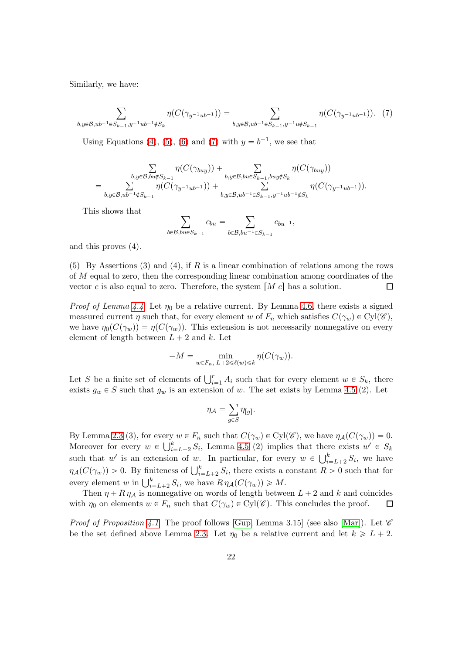Similarly, we have:

<span id="page-21-0"></span>
$$
\sum_{b,y \in \mathcal{B}, ub^{-1} \in S_{k-1}, y^{-1}ub^{-1} \notin S_k} \eta(C(\gamma_{y^{-1}ub^{-1}})) = \sum_{b,y \in \mathcal{B}, ub^{-1} \in S_{k-1}, y^{-1}u \notin S_{k-1}} \eta(C(\gamma_{y^{-1}ub^{-1}})).
$$
 (7)

Using Equations [\(4\)](#page-20-0), [\(5\)](#page-20-1), [\(6\)](#page-20-2) and [\(7\)](#page-21-0) with  $y = b^{-1}$ , we see that

$$
\sum_{\substack{b,y\in \mathcal{B}, bu\notin S_{k-1} \\ b,y\in \mathcal{B}, ub^{-1}\notin S_{k-1}}}\!\!\!\!\!\!\!\!\!\!\eta(C(\gamma_{buy})) + \sum_{\substack{b,y\in \mathcal{B}, bu\in S_{k-1}, buy\notin S_k \\ b,y\in \mathcal{B}, ub^{-1}\in S_{k-1}, y^{-1}ub^{-1}\notin S_k}}\!\!\!\!\!\!\!\!\eta(C(\gamma_{y^{-1}ub^{-1}})).
$$

This shows that

$$
\sum_{b\in\mathcal{B},b u\in S_{k-1}}c_{bu}=\sum_{b\in\mathcal{B},b u^{-1}\in S_{k-1}}c_{bu^{-1}},
$$

and this proves  $(4)$ .

(5) By Assertions (3) and (4), if R is a linear combination of relations among the rows of M equal to zero, then the corresponding linear combination among coordinates of the vector c is also equal to zero. Therefore, the system  $[M|c]$  has a solution.  $\Box$ 

*Proof of Lemma [4.4](#page-17-0)* Let  $\eta_0$  be a relative current. By Lemma [4.6,](#page-18-2) there exists a signed measured current  $\eta$  such that, for every element w of  $F_n$  which satisfies  $C(\gamma_w) \in Cyl(\mathscr{C})$ , we have  $\eta_0(C(\gamma_w)) = \eta(C(\gamma_w))$ . This extension is not necessarily nonnegative on every element of length between  $L + 2$  and k. Let

$$
-M = \min_{w \in F_n, L+2 \leq \ell(w) \leq k} \eta(C(\gamma_w)).
$$

Let S be a finite set of elements of  $\bigcup_{i=1}^r A_i$  such that for every element  $w \in S_k$ , there exists  $g_w \in S$  such that  $g_w$  is an extension of w. The set exists by Lemma [4.5](#page-17-1) (2). Let

$$
\eta_{\mathcal{A}} = \sum_{g \in S} \eta_{[g]}.
$$

By Lemma [2.3](#page-5-0) (3), for every  $w \in F_n$  such that  $C(\gamma_w) \in Cyl(\mathscr{C})$ , we have  $\eta_{\mathcal{A}}(C(\gamma_w)) = 0$ . Moreover for every  $w \in \bigcup_{i=L+2}^{k} S_i$ , Lemma [4.5](#page-17-1) (2) implies that there exists  $w' \in S_k$ such that w' is an extension of w. In particular, for every  $w \in \bigcup_{i=L+2}^k S_i$ , we have  $\eta_{\mathcal{A}}(C(\gamma_w)) > 0$ . By finiteness of  $\bigcup_{i=L+2}^k S_i$ , there exists a constant  $R > 0$  such that for every element w in  $\bigcup_{i=L+2}^{k} S_i$ , we have  $R \eta_{\mathcal{A}}(C(\gamma_w)) \geq M$ .

Then  $\eta + R \eta_A$  is nonnegative on words of length between  $L + 2$  and k and coincides with  $\eta_0$  on elements  $w \in F_n$  such that  $C(\gamma_w) \in Cyl(\mathscr{C})$ . This concludes the proof.  $\Box$ 

*Proof of Proposition [4.1](#page-16-1)* The proof follows [\[Gup,](#page-23-7) Lemma 3.15] (see also [\[Mar\]](#page-24-3)). Let  $\mathscr C$ be the set defined above Lemma [2.3.](#page-5-0) Let  $\eta_0$  be a relative current and let  $k \geqslant L + 2$ .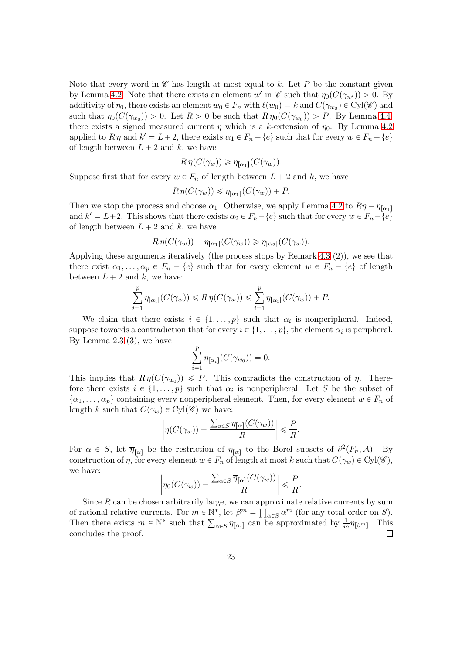Note that every word in  $\mathscr C$  has length at most equal to k. Let P be the constant given by Lemma [4.2.](#page-16-0) Note that there exists an element w' in  $\mathscr{C}$  such that  $\eta_0(C(\gamma_{w'})) > 0$ . By additivity of  $\eta_0$ , there exists an element  $w_0 \in F_n$  with  $\ell(w_0) = k$  and  $C(\gamma_{w_0}) \in Cyl(\mathscr{C})$  and such that  $\eta_0(C(\gamma_{w_0})) > 0$ . Let  $R > 0$  be such that  $R \eta_0(C(\gamma_{w_0})) > P$ . By Lemma [4.4,](#page-17-0) there exists a signed measured current  $\eta$  which is a k-extension of  $\eta_0$ . By Lemma [4.2](#page-16-0) applied to  $R \eta$  and  $k' = L + 2$ , there exists  $\alpha_1 \in F_n - \{e\}$  such that for every  $w \in F_n - \{e\}$ of length between  $L + 2$  and k, we have

$$
R \eta(C(\gamma_w)) \geq \eta_{[\alpha_1]}(C(\gamma_w)).
$$

Suppose first that for every  $w \in F_n$  of length between  $L + 2$  and k, we have

$$
R \eta(C(\gamma_w)) \leq \eta_{[\alpha_1]}(C(\gamma_w)) + P.
$$

Then we stop the process and choose  $\alpha_1$ . Otherwise, we apply Lemma [4.2](#page-16-0) to  $R\eta - \eta_{\lceil \alpha_1 \rceil}$ and  $k' = L+2$ . This shows that there exists  $\alpha_2 \in F_n - \{e\}$  such that for every  $w \in F_n - \{e\}$ of length between  $L + 2$  and k, we have

$$
R \eta(C(\gamma_w)) - \eta_{[\alpha_1]}(C(\gamma_w)) \geq \eta_{[\alpha_2]}(C(\gamma_w)).
$$

Applying these arguments iteratively (the process stops by Remark [4.3](#page-16-2)  $(2)$ ), we see that there exist  $\alpha_1, \ldots, \alpha_p \in F_n - \{e\}$  such that for every element  $w \in F_n - \{e\}$  of length between  $L + 2$  and k, we have:

$$
\sum_{i=1}^p \eta_{[\alpha_i]}(C(\gamma_w)) \le R \eta(C(\gamma_w)) \le \sum_{i=1}^p \eta_{[\alpha_i]}(C(\gamma_w)) + P.
$$

We claim that there exists  $i \in \{1, ..., p\}$  such that  $\alpha_i$  is nonperipheral. Indeed, suppose towards a contradiction that for every  $i \in \{1, \ldots, p\}$ , the element  $\alpha_i$  is peripheral. By Lemma [2.3](#page-5-0)  $(3)$ , we have

$$
\sum_{i=1}^p \eta_{[\alpha_i]}(C(\gamma_{w_0})) = 0.
$$

This implies that  $R \eta(C(\gamma_{w_0})) \leq P$ . This contradicts the construction of  $\eta$ . Therefore there exists  $i \in \{1, ..., p\}$  such that  $\alpha_i$  is nonperipheral. Let S be the subset of  $\{\alpha_1, \ldots, \alpha_p\}$  containing every nonperipheral element. Then, for every element  $w \in F_n$  of length k such that  $C(\gamma_w) \in Cyl(\mathscr{C})$  we have:

$$
\left|\eta(C(\gamma_w)) - \frac{\sum_{\alpha \in S}\eta_{[\alpha]}(C(\gamma_w))}{R}\right| \leqslant \frac{P}{R}.
$$

For  $\alpha \in S$ , let  $\overline{\eta}_{[\alpha]}$  be the restriction of  $\eta_{[\alpha]}$  to the Borel subsets of  $\partial^2(F_n, \mathcal{A})$ . By construction of  $\eta$ , for every element  $w \in F_n$  of length at most k such that  $C(\gamma_w) \in Cyl(\mathscr{C})$ , we have:

$$
\left|\eta_0(C(\gamma_w)) - \frac{\sum_{\alpha \in S} \overline{\eta}_{[\alpha]}(C(\gamma_w))}{R}\right| \leqslant \frac{P}{R}.
$$

Since  $R$  can be chosen arbitrarily large, we can approximate relative currents by sum of rational relative currents. For  $m \in \mathbb{N}^*$ , let  $\beta^m = \prod_{\alpha \in S} \alpha^m$  (for any total order on S). Then there exists  $m \in \mathbb{N}^*$  such that  $\sum_{\alpha \in S} \eta_{[\alpha_i]}$  can be approximated by  $\frac{1}{m} \eta_{[\beta^m]}$ . This concludes the proof. П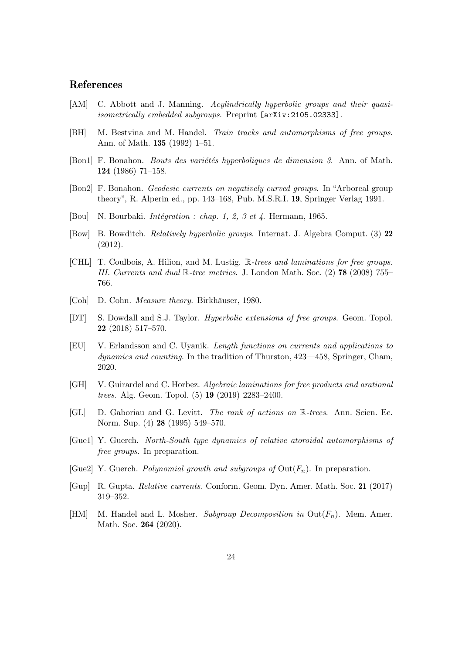## References

- <span id="page-23-12"></span>[AM] C. Abbott and J. Manning. Acylindrically hyperbolic groups and their quasiisometrically embedded subgroups. Preprint [arXiv:2105.02333].
- <span id="page-23-0"></span>[BH] M. Bestvina and M. Handel. Train tracks and automorphisms of free groups. Ann. of Math. 135 (1992) 1–51.
- <span id="page-23-3"></span>[Bon1] F. Bonahon. *Bouts des variétés hyperboliques de dimension 3*. Ann. of Math. 124 (1986) 71–158.
- <span id="page-23-5"></span>[Bon2] F. Bonahon. Geodesic currents on negatively curved groups. In "Arboreal group theory", R. Alperin ed., pp. 143–168, Pub. M.S.R.I. 19, Springer Verlag 1991.
- <span id="page-23-15"></span>[Bou] N. Bourbaki. *Intégration : chap. 1, 2, 3 et 4*. Hermann, 1965.
- <span id="page-23-9"></span>[Bow] B. Bowditch. Relatively hyperbolic groups. Internat. J. Algebra Comput. (3) 22 (2012).
- <span id="page-23-6"></span>[CHL] T. Coulbois, A. Hilion, and M. Lustig. R-trees and laminations for free groups. III. Currents and dual  $\mathbb{R}$ -tree metrics. J. London Math. Soc. (2) **78** (2008) 755– 766.
- <span id="page-23-14"></span>[Coh] D. Cohn. *Measure theory*. Birkhäuser, 1980.
- <span id="page-23-13"></span>[DT] S. Dowdall and S.J. Taylor. Hyperbolic extensions of free groups. Geom. Topol. 22 (2018) 517–570.
- <span id="page-23-4"></span>[EU] V. Erlandsson and C. Uyanik. Length functions on currents and applications to dynamics and counting. In the tradition of Thurston, 423—458, Springer, Cham, 2020.
- <span id="page-23-8"></span>[GH] V. Guirardel and C. Horbez. Algebraic laminations for free products and arational trees. Alg. Geom. Topol. (5) 19 (2019) 2283–2400.
- <span id="page-23-11"></span>[GL] D. Gaboriau and G. Levitt. The rank of actions on R-trees. Ann. Scien. Ec. Norm. Sup. (4) 28 (1995) 549–570.
- <span id="page-23-2"></span>[Gue1] Y. Guerch. North-South type dynamics of relative atoroidal automorphisms of free groups. In preparation.
- <span id="page-23-1"></span>[Gue2] Y. Guerch. *Polynomial growth and subgroups of*  $Out(F_n)$ . In preparation.
- <span id="page-23-7"></span>[Gup] R. Gupta. Relative currents. Conform. Geom. Dyn. Amer. Math. Soc. 21 (2017) 319–352.
- <span id="page-23-10"></span>[HM] M. Handel and L. Mosher. Subgroup Decomposition in  $\text{Out}(F_n)$ . Mem. Amer. Math. Soc. 264 (2020).